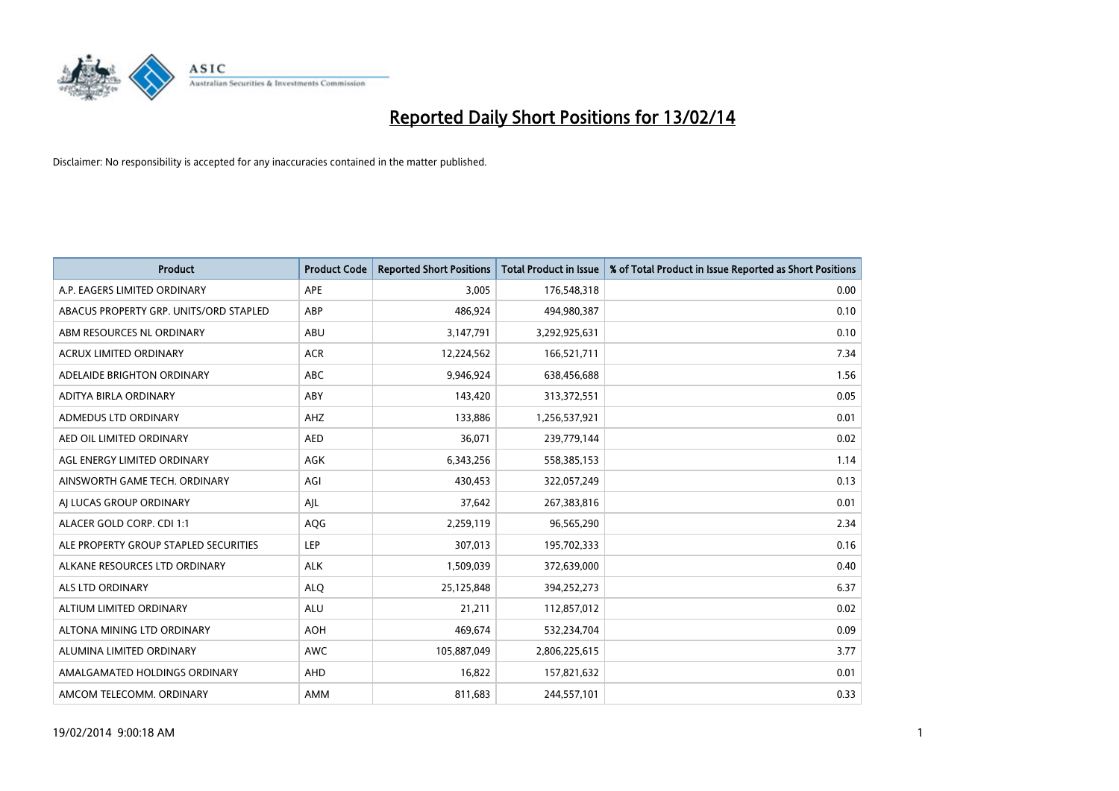

| <b>Product</b>                         | <b>Product Code</b> | <b>Reported Short Positions</b> | <b>Total Product in Issue</b> | % of Total Product in Issue Reported as Short Positions |
|----------------------------------------|---------------------|---------------------------------|-------------------------------|---------------------------------------------------------|
| A.P. EAGERS LIMITED ORDINARY           | APE                 | 3,005                           | 176,548,318                   | 0.00                                                    |
| ABACUS PROPERTY GRP. UNITS/ORD STAPLED | ABP                 | 486,924                         | 494,980,387                   | 0.10                                                    |
| ABM RESOURCES NL ORDINARY              | ABU                 | 3,147,791                       | 3,292,925,631                 | 0.10                                                    |
| ACRUX LIMITED ORDINARY                 | <b>ACR</b>          | 12,224,562                      | 166,521,711                   | 7.34                                                    |
| ADELAIDE BRIGHTON ORDINARY             | <b>ABC</b>          | 9,946,924                       | 638,456,688                   | 1.56                                                    |
| ADITYA BIRLA ORDINARY                  | ABY                 | 143,420                         | 313,372,551                   | 0.05                                                    |
| ADMEDUS LTD ORDINARY                   | AHZ                 | 133,886                         | 1,256,537,921                 | 0.01                                                    |
| AED OIL LIMITED ORDINARY               | <b>AED</b>          | 36,071                          | 239,779,144                   | 0.02                                                    |
| AGL ENERGY LIMITED ORDINARY            | <b>AGK</b>          | 6,343,256                       | 558,385,153                   | 1.14                                                    |
| AINSWORTH GAME TECH. ORDINARY          | AGI                 | 430,453                         | 322,057,249                   | 0.13                                                    |
| AI LUCAS GROUP ORDINARY                | AJL                 | 37,642                          | 267,383,816                   | 0.01                                                    |
| ALACER GOLD CORP. CDI 1:1              | AQG                 | 2,259,119                       | 96,565,290                    | 2.34                                                    |
| ALE PROPERTY GROUP STAPLED SECURITIES  | <b>LEP</b>          | 307,013                         | 195,702,333                   | 0.16                                                    |
| ALKANE RESOURCES LTD ORDINARY          | <b>ALK</b>          | 1,509,039                       | 372,639,000                   | 0.40                                                    |
| ALS LTD ORDINARY                       | <b>ALQ</b>          | 25,125,848                      | 394,252,273                   | 6.37                                                    |
| ALTIUM LIMITED ORDINARY                | <b>ALU</b>          | 21,211                          | 112,857,012                   | 0.02                                                    |
| ALTONA MINING LTD ORDINARY             | <b>AOH</b>          | 469,674                         | 532,234,704                   | 0.09                                                    |
| ALUMINA LIMITED ORDINARY               | <b>AWC</b>          | 105,887,049                     | 2,806,225,615                 | 3.77                                                    |
| AMALGAMATED HOLDINGS ORDINARY          | AHD                 | 16,822                          | 157,821,632                   | 0.01                                                    |
| AMCOM TELECOMM. ORDINARY               | AMM                 | 811,683                         | 244,557,101                   | 0.33                                                    |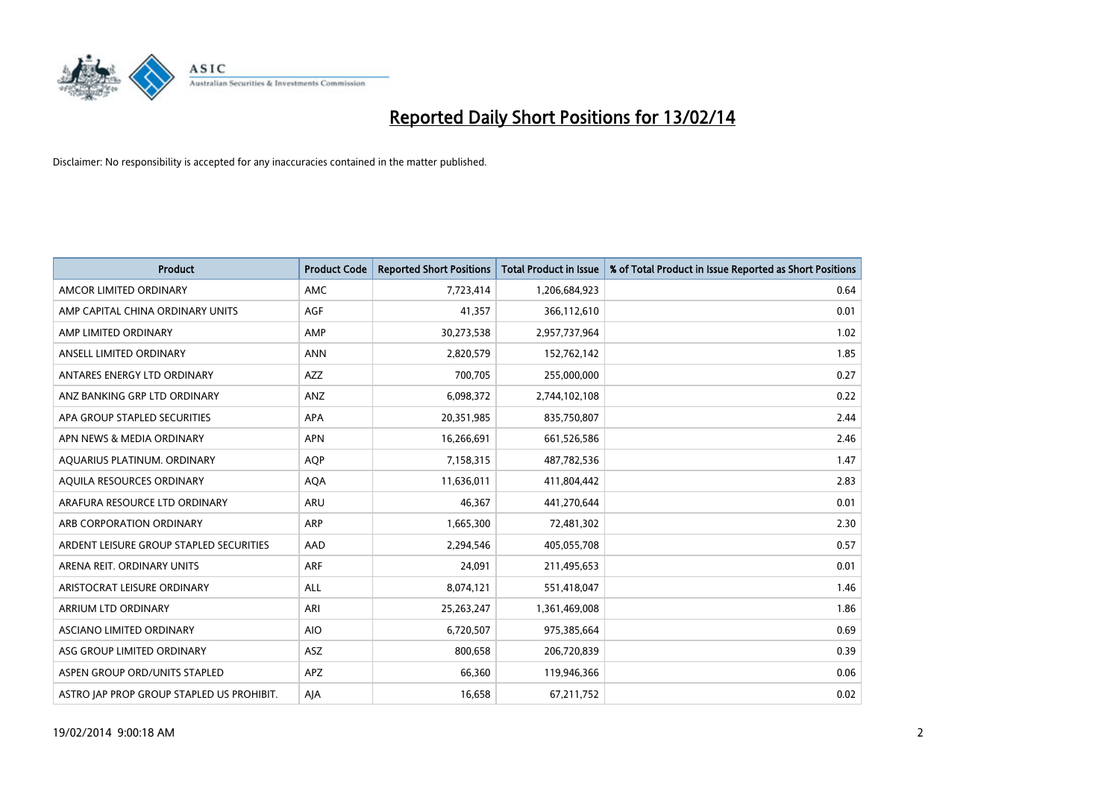

| <b>Product</b>                            | <b>Product Code</b> | <b>Reported Short Positions</b> | <b>Total Product in Issue</b> | % of Total Product in Issue Reported as Short Positions |
|-------------------------------------------|---------------------|---------------------------------|-------------------------------|---------------------------------------------------------|
| AMCOR LIMITED ORDINARY                    | AMC                 | 7,723,414                       | 1,206,684,923                 | 0.64                                                    |
| AMP CAPITAL CHINA ORDINARY UNITS          | AGF                 | 41,357                          | 366,112,610                   | 0.01                                                    |
| AMP LIMITED ORDINARY                      | AMP                 | 30,273,538                      | 2,957,737,964                 | 1.02                                                    |
| ANSELL LIMITED ORDINARY                   | <b>ANN</b>          | 2,820,579                       | 152,762,142                   | 1.85                                                    |
| ANTARES ENERGY LTD ORDINARY               | <b>AZZ</b>          | 700,705                         | 255,000,000                   | 0.27                                                    |
| ANZ BANKING GRP LTD ORDINARY              | ANZ                 | 6,098,372                       | 2,744,102,108                 | 0.22                                                    |
| APA GROUP STAPLED SECURITIES              | APA                 | 20,351,985                      | 835,750,807                   | 2.44                                                    |
| APN NEWS & MEDIA ORDINARY                 | <b>APN</b>          | 16,266,691                      | 661,526,586                   | 2.46                                                    |
| AQUARIUS PLATINUM. ORDINARY               | <b>AOP</b>          | 7,158,315                       | 487,782,536                   | 1.47                                                    |
| AQUILA RESOURCES ORDINARY                 | <b>AQA</b>          | 11,636,011                      | 411,804,442                   | 2.83                                                    |
| ARAFURA RESOURCE LTD ORDINARY             | ARU                 | 46,367                          | 441,270,644                   | 0.01                                                    |
| ARB CORPORATION ORDINARY                  | <b>ARP</b>          | 1,665,300                       | 72,481,302                    | 2.30                                                    |
| ARDENT LEISURE GROUP STAPLED SECURITIES   | AAD                 | 2,294,546                       | 405,055,708                   | 0.57                                                    |
| ARENA REIT. ORDINARY UNITS                | ARF                 | 24,091                          | 211,495,653                   | 0.01                                                    |
| ARISTOCRAT LEISURE ORDINARY               | ALL                 | 8,074,121                       | 551,418,047                   | 1.46                                                    |
| ARRIUM LTD ORDINARY                       | ARI                 | 25,263,247                      | 1,361,469,008                 | 1.86                                                    |
| ASCIANO LIMITED ORDINARY                  | <b>AIO</b>          | 6,720,507                       | 975,385,664                   | 0.69                                                    |
| ASG GROUP LIMITED ORDINARY                | ASZ                 | 800,658                         | 206,720,839                   | 0.39                                                    |
| ASPEN GROUP ORD/UNITS STAPLED             | <b>APZ</b>          | 66,360                          | 119,946,366                   | 0.06                                                    |
| ASTRO JAP PROP GROUP STAPLED US PROHIBIT. | AJA                 | 16,658                          | 67,211,752                    | 0.02                                                    |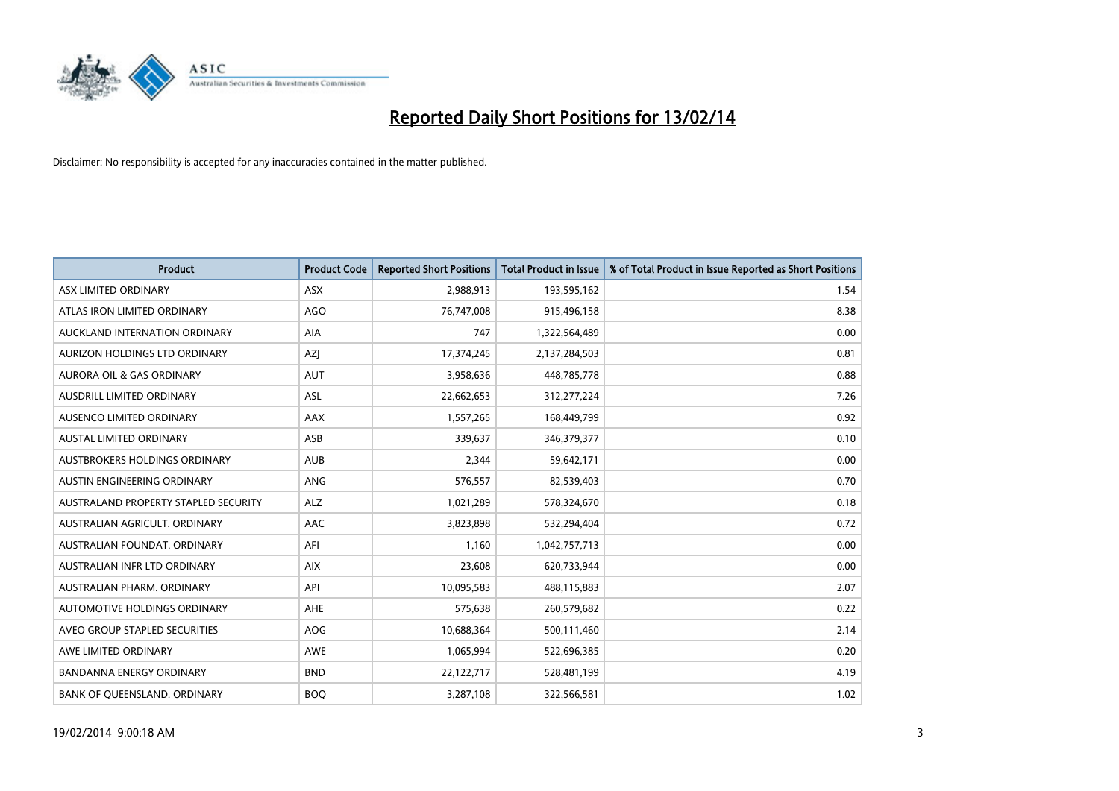

| Product                              | <b>Product Code</b> | <b>Reported Short Positions</b> | <b>Total Product in Issue</b> | % of Total Product in Issue Reported as Short Positions |
|--------------------------------------|---------------------|---------------------------------|-------------------------------|---------------------------------------------------------|
| ASX LIMITED ORDINARY                 | <b>ASX</b>          | 2,988,913                       | 193,595,162                   | 1.54                                                    |
| ATLAS IRON LIMITED ORDINARY          | <b>AGO</b>          | 76,747,008                      | 915,496,158                   | 8.38                                                    |
| AUCKLAND INTERNATION ORDINARY        | <b>AIA</b>          | 747                             | 1,322,564,489                 | 0.00                                                    |
| AURIZON HOLDINGS LTD ORDINARY        | AZJ                 | 17,374,245                      | 2,137,284,503                 | 0.81                                                    |
| <b>AURORA OIL &amp; GAS ORDINARY</b> | <b>AUT</b>          | 3,958,636                       | 448,785,778                   | 0.88                                                    |
| AUSDRILL LIMITED ORDINARY            | <b>ASL</b>          | 22,662,653                      | 312,277,224                   | 7.26                                                    |
| AUSENCO LIMITED ORDINARY             | AAX                 | 1,557,265                       | 168,449,799                   | 0.92                                                    |
| <b>AUSTAL LIMITED ORDINARY</b>       | ASB                 | 339.637                         | 346,379,377                   | 0.10                                                    |
| AUSTBROKERS HOLDINGS ORDINARY        | <b>AUB</b>          | 2,344                           | 59,642,171                    | 0.00                                                    |
| AUSTIN ENGINEERING ORDINARY          | ANG                 | 576,557                         | 82,539,403                    | 0.70                                                    |
| AUSTRALAND PROPERTY STAPLED SECURITY | <b>ALZ</b>          | 1,021,289                       | 578,324,670                   | 0.18                                                    |
| AUSTRALIAN AGRICULT, ORDINARY        | AAC                 | 3,823,898                       | 532,294,404                   | 0.72                                                    |
| AUSTRALIAN FOUNDAT, ORDINARY         | AFI                 | 1,160                           | 1,042,757,713                 | 0.00                                                    |
| AUSTRALIAN INFR LTD ORDINARY         | <b>AIX</b>          | 23,608                          | 620,733,944                   | 0.00                                                    |
| AUSTRALIAN PHARM, ORDINARY           | API                 | 10,095,583                      | 488,115,883                   | 2.07                                                    |
| AUTOMOTIVE HOLDINGS ORDINARY         | AHE                 | 575,638                         | 260,579,682                   | 0.22                                                    |
| AVEO GROUP STAPLED SECURITIES        | AOG                 | 10,688,364                      | 500,111,460                   | 2.14                                                    |
| AWE LIMITED ORDINARY                 | AWE                 | 1,065,994                       | 522,696,385                   | 0.20                                                    |
| <b>BANDANNA ENERGY ORDINARY</b>      | <b>BND</b>          | 22,122,717                      | 528,481,199                   | 4.19                                                    |
| BANK OF QUEENSLAND. ORDINARY         | <b>BOO</b>          | 3,287,108                       | 322,566,581                   | 1.02                                                    |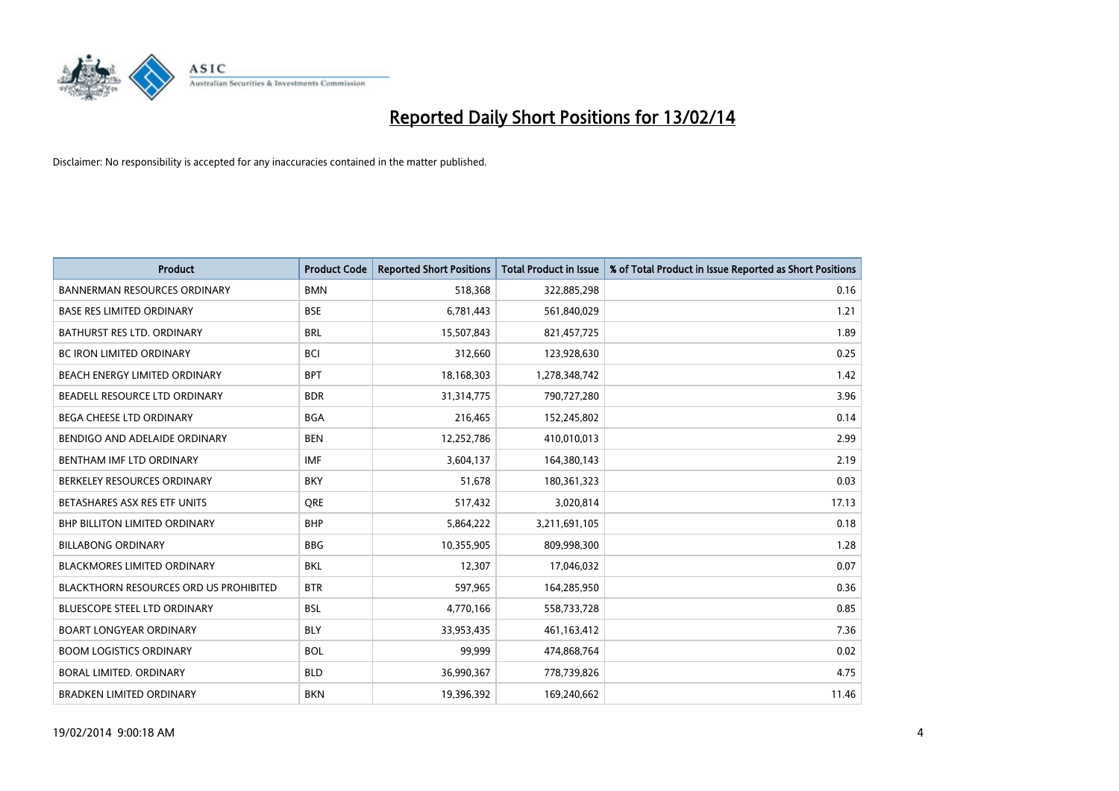

| <b>Product</b>                                | <b>Product Code</b> | <b>Reported Short Positions</b> | <b>Total Product in Issue</b> | % of Total Product in Issue Reported as Short Positions |
|-----------------------------------------------|---------------------|---------------------------------|-------------------------------|---------------------------------------------------------|
| <b>BANNERMAN RESOURCES ORDINARY</b>           | <b>BMN</b>          | 518,368                         | 322,885,298                   | 0.16                                                    |
| <b>BASE RES LIMITED ORDINARY</b>              | <b>BSE</b>          | 6,781,443                       | 561,840,029                   | 1.21                                                    |
| BATHURST RES LTD. ORDINARY                    | <b>BRL</b>          | 15,507,843                      | 821,457,725                   | 1.89                                                    |
| <b>BC IRON LIMITED ORDINARY</b>               | <b>BCI</b>          | 312,660                         | 123,928,630                   | 0.25                                                    |
| BEACH ENERGY LIMITED ORDINARY                 | <b>BPT</b>          | 18,168,303                      | 1,278,348,742                 | 1.42                                                    |
| BEADELL RESOURCE LTD ORDINARY                 | <b>BDR</b>          | 31,314,775                      | 790,727,280                   | 3.96                                                    |
| BEGA CHEESE LTD ORDINARY                      | <b>BGA</b>          | 216,465                         | 152,245,802                   | 0.14                                                    |
| BENDIGO AND ADELAIDE ORDINARY                 | <b>BEN</b>          | 12,252,786                      | 410,010,013                   | 2.99                                                    |
| BENTHAM IMF LTD ORDINARY                      | <b>IMF</b>          | 3,604,137                       | 164,380,143                   | 2.19                                                    |
| BERKELEY RESOURCES ORDINARY                   | <b>BKY</b>          | 51,678                          | 180,361,323                   | 0.03                                                    |
| BETASHARES ASX RES ETF UNITS                  | <b>ORE</b>          | 517,432                         | 3,020,814                     | 17.13                                                   |
| <b>BHP BILLITON LIMITED ORDINARY</b>          | <b>BHP</b>          | 5,864,222                       | 3,211,691,105                 | 0.18                                                    |
| <b>BILLABONG ORDINARY</b>                     | <b>BBG</b>          | 10,355,905                      | 809,998,300                   | 1.28                                                    |
| <b>BLACKMORES LIMITED ORDINARY</b>            | <b>BKL</b>          | 12,307                          | 17,046,032                    | 0.07                                                    |
| <b>BLACKTHORN RESOURCES ORD US PROHIBITED</b> | <b>BTR</b>          | 597,965                         | 164,285,950                   | 0.36                                                    |
| BLUESCOPE STEEL LTD ORDINARY                  | <b>BSL</b>          | 4,770,166                       | 558,733,728                   | 0.85                                                    |
| <b>BOART LONGYEAR ORDINARY</b>                | <b>BLY</b>          | 33,953,435                      | 461,163,412                   | 7.36                                                    |
| <b>BOOM LOGISTICS ORDINARY</b>                | <b>BOL</b>          | 99,999                          | 474,868,764                   | 0.02                                                    |
| <b>BORAL LIMITED, ORDINARY</b>                | <b>BLD</b>          | 36,990,367                      | 778,739,826                   | 4.75                                                    |
| <b>BRADKEN LIMITED ORDINARY</b>               | <b>BKN</b>          | 19,396,392                      | 169,240,662                   | 11.46                                                   |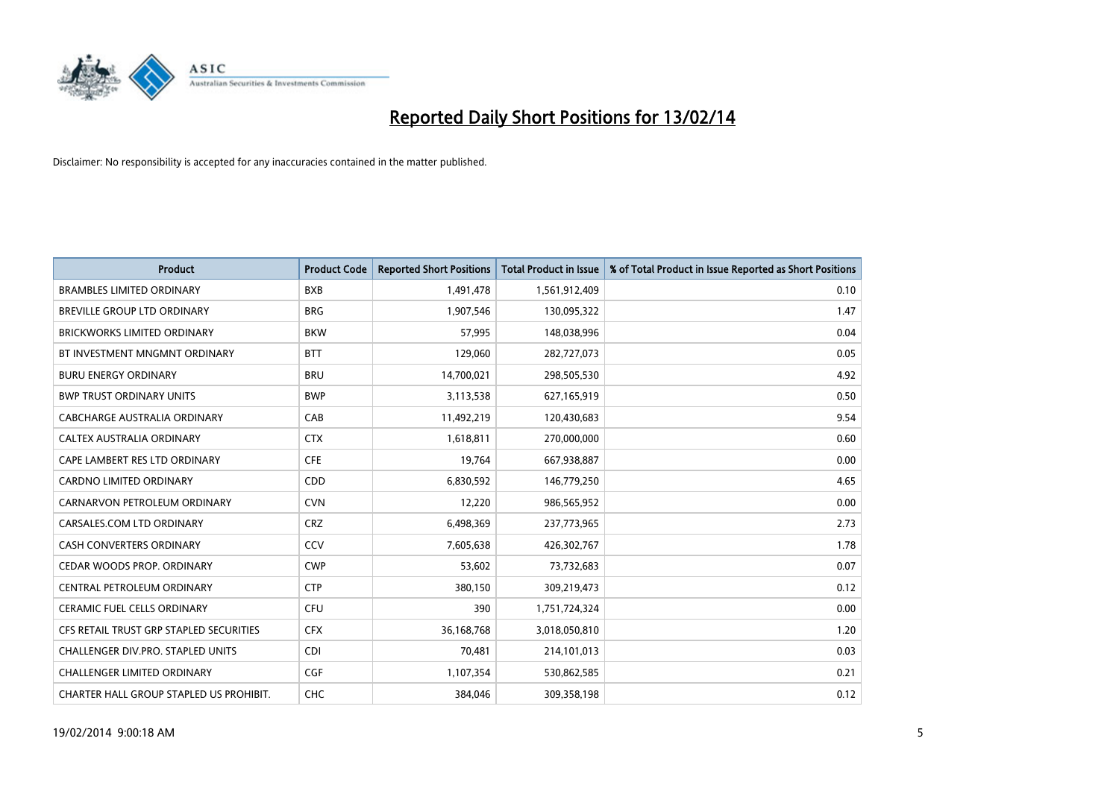

| <b>Product</b>                          | <b>Product Code</b> | <b>Reported Short Positions</b> | <b>Total Product in Issue</b> | % of Total Product in Issue Reported as Short Positions |
|-----------------------------------------|---------------------|---------------------------------|-------------------------------|---------------------------------------------------------|
| <b>BRAMBLES LIMITED ORDINARY</b>        | <b>BXB</b>          | 1,491,478                       | 1,561,912,409                 | 0.10                                                    |
| BREVILLE GROUP LTD ORDINARY             | <b>BRG</b>          | 1,907,546                       | 130,095,322                   | 1.47                                                    |
| <b>BRICKWORKS LIMITED ORDINARY</b>      | <b>BKW</b>          | 57,995                          | 148,038,996                   | 0.04                                                    |
| BT INVESTMENT MNGMNT ORDINARY           | <b>BTT</b>          | 129,060                         | 282,727,073                   | 0.05                                                    |
| <b>BURU ENERGY ORDINARY</b>             | <b>BRU</b>          | 14,700,021                      | 298,505,530                   | 4.92                                                    |
| <b>BWP TRUST ORDINARY UNITS</b>         | <b>BWP</b>          | 3,113,538                       | 627,165,919                   | 0.50                                                    |
| CABCHARGE AUSTRALIA ORDINARY            | CAB                 | 11,492,219                      | 120,430,683                   | 9.54                                                    |
| CALTEX AUSTRALIA ORDINARY               | <b>CTX</b>          | 1,618,811                       | 270,000,000                   | 0.60                                                    |
| CAPE LAMBERT RES LTD ORDINARY           | <b>CFE</b>          | 19,764                          | 667,938,887                   | 0.00                                                    |
| <b>CARDNO LIMITED ORDINARY</b>          | CDD                 | 6,830,592                       | 146,779,250                   | 4.65                                                    |
| CARNARVON PETROLEUM ORDINARY            | <b>CVN</b>          | 12,220                          | 986,565,952                   | 0.00                                                    |
| CARSALES.COM LTD ORDINARY               | <b>CRZ</b>          | 6,498,369                       | 237,773,965                   | 2.73                                                    |
| <b>CASH CONVERTERS ORDINARY</b>         | CCV                 | 7,605,638                       | 426,302,767                   | 1.78                                                    |
| CEDAR WOODS PROP. ORDINARY              | <b>CWP</b>          | 53,602                          | 73,732,683                    | 0.07                                                    |
| CENTRAL PETROLEUM ORDINARY              | <b>CTP</b>          | 380,150                         | 309,219,473                   | 0.12                                                    |
| <b>CERAMIC FUEL CELLS ORDINARY</b>      | <b>CFU</b>          | 390                             | 1,751,724,324                 | 0.00                                                    |
| CFS RETAIL TRUST GRP STAPLED SECURITIES | <b>CFX</b>          | 36,168,768                      | 3,018,050,810                 | 1.20                                                    |
| CHALLENGER DIV.PRO. STAPLED UNITS       | <b>CDI</b>          | 70,481                          | 214,101,013                   | 0.03                                                    |
| <b>CHALLENGER LIMITED ORDINARY</b>      | <b>CGF</b>          | 1,107,354                       | 530,862,585                   | 0.21                                                    |
| CHARTER HALL GROUP STAPLED US PROHIBIT. | <b>CHC</b>          | 384,046                         | 309,358,198                   | 0.12                                                    |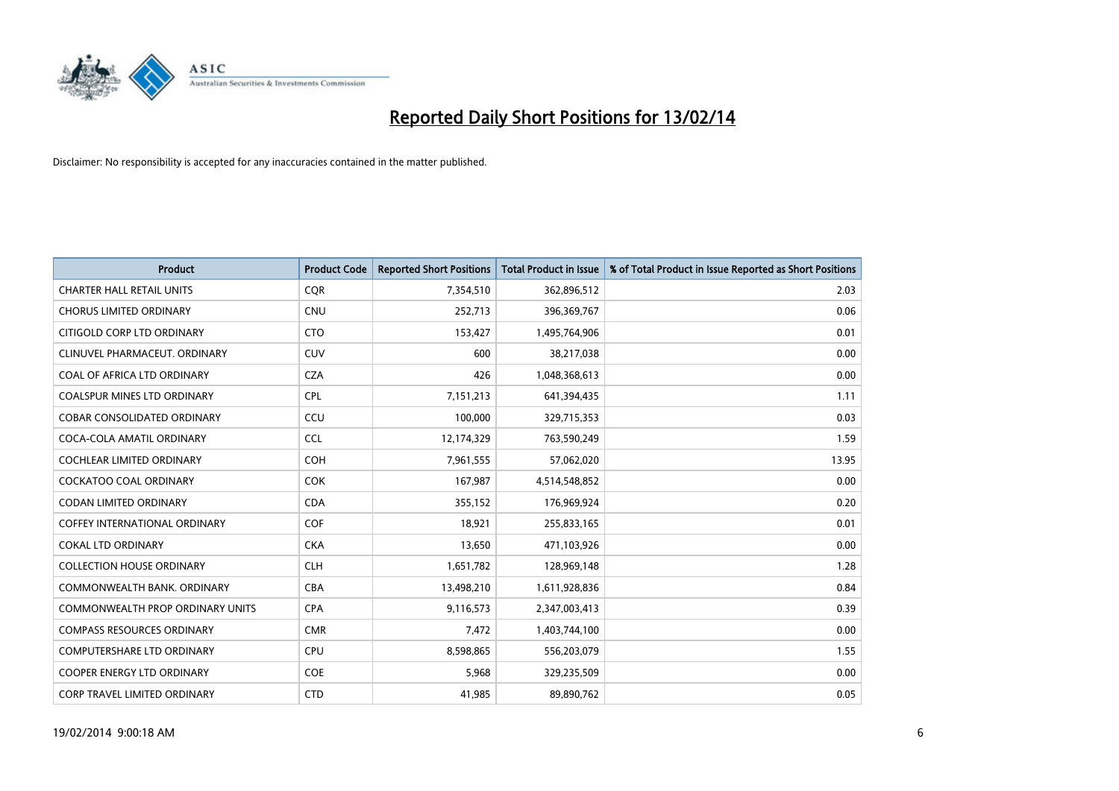

| <b>Product</b>                          | <b>Product Code</b> | <b>Reported Short Positions</b> | <b>Total Product in Issue</b> | % of Total Product in Issue Reported as Short Positions |
|-----------------------------------------|---------------------|---------------------------------|-------------------------------|---------------------------------------------------------|
| <b>CHARTER HALL RETAIL UNITS</b>        | <b>CQR</b>          | 7,354,510                       | 362,896,512                   | 2.03                                                    |
| <b>CHORUS LIMITED ORDINARY</b>          | CNU                 | 252,713                         | 396,369,767                   | 0.06                                                    |
| CITIGOLD CORP LTD ORDINARY              | <b>CTO</b>          | 153,427                         | 1,495,764,906                 | 0.01                                                    |
| CLINUVEL PHARMACEUT, ORDINARY           | <b>CUV</b>          | 600                             | 38,217,038                    | 0.00                                                    |
| COAL OF AFRICA LTD ORDINARY             | <b>CZA</b>          | 426                             | 1,048,368,613                 | 0.00                                                    |
| <b>COALSPUR MINES LTD ORDINARY</b>      | <b>CPL</b>          | 7,151,213                       | 641,394,435                   | 1.11                                                    |
| COBAR CONSOLIDATED ORDINARY             | CCU                 | 100,000                         | 329,715,353                   | 0.03                                                    |
| COCA-COLA AMATIL ORDINARY               | <b>CCL</b>          | 12,174,329                      | 763,590,249                   | 1.59                                                    |
| <b>COCHLEAR LIMITED ORDINARY</b>        | <b>COH</b>          | 7,961,555                       | 57,062,020                    | 13.95                                                   |
| <b>COCKATOO COAL ORDINARY</b>           | <b>COK</b>          | 167,987                         | 4,514,548,852                 | 0.00                                                    |
| CODAN LIMITED ORDINARY                  | <b>CDA</b>          | 355,152                         | 176,969,924                   | 0.20                                                    |
| <b>COFFEY INTERNATIONAL ORDINARY</b>    | <b>COF</b>          | 18,921                          | 255,833,165                   | 0.01                                                    |
| <b>COKAL LTD ORDINARY</b>               | <b>CKA</b>          | 13,650                          | 471,103,926                   | 0.00                                                    |
| <b>COLLECTION HOUSE ORDINARY</b>        | <b>CLH</b>          | 1,651,782                       | 128,969,148                   | 1.28                                                    |
| COMMONWEALTH BANK, ORDINARY             | <b>CBA</b>          | 13,498,210                      | 1,611,928,836                 | 0.84                                                    |
| <b>COMMONWEALTH PROP ORDINARY UNITS</b> | <b>CPA</b>          | 9,116,573                       | 2,347,003,413                 | 0.39                                                    |
| <b>COMPASS RESOURCES ORDINARY</b>       | <b>CMR</b>          | 7,472                           | 1,403,744,100                 | 0.00                                                    |
| <b>COMPUTERSHARE LTD ORDINARY</b>       | <b>CPU</b>          | 8,598,865                       | 556,203,079                   | 1.55                                                    |
| <b>COOPER ENERGY LTD ORDINARY</b>       | <b>COE</b>          | 5,968                           | 329,235,509                   | 0.00                                                    |
| <b>CORP TRAVEL LIMITED ORDINARY</b>     | <b>CTD</b>          | 41,985                          | 89,890,762                    | 0.05                                                    |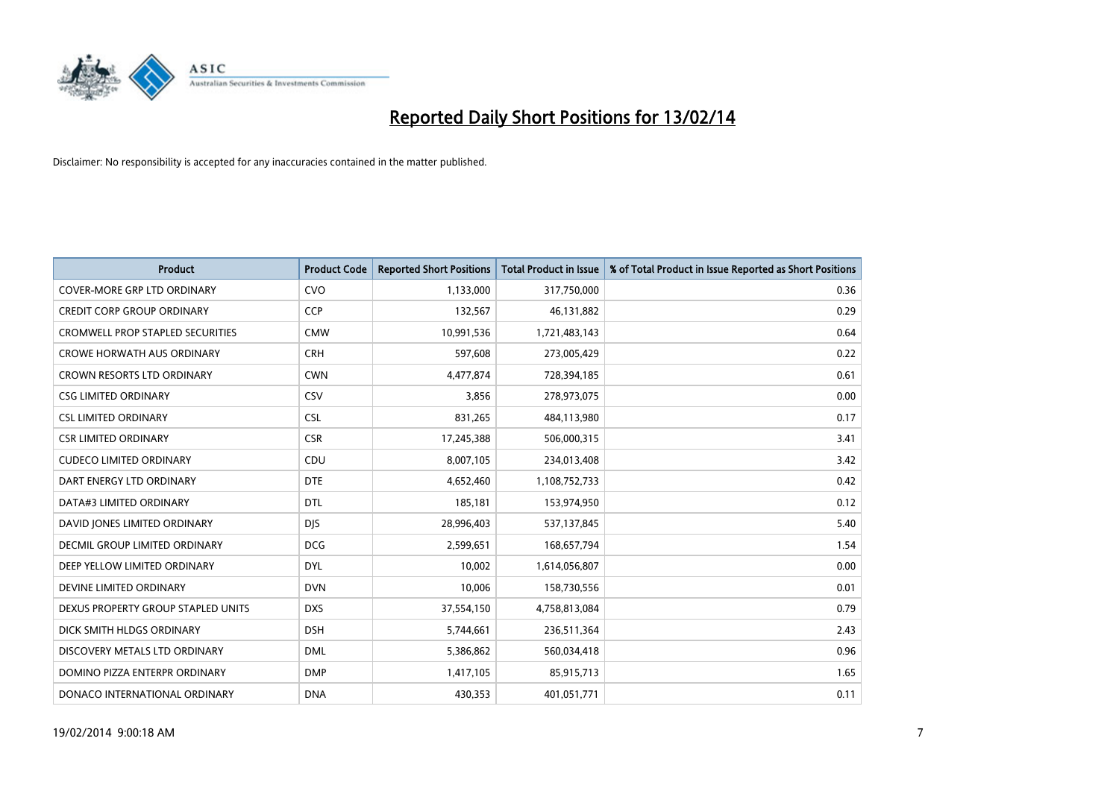

| <b>Product</b>                          | <b>Product Code</b> | <b>Reported Short Positions</b> | <b>Total Product in Issue</b> | % of Total Product in Issue Reported as Short Positions |
|-----------------------------------------|---------------------|---------------------------------|-------------------------------|---------------------------------------------------------|
| <b>COVER-MORE GRP LTD ORDINARY</b>      | <b>CVO</b>          | 1,133,000                       | 317,750,000                   | 0.36                                                    |
| <b>CREDIT CORP GROUP ORDINARY</b>       | <b>CCP</b>          | 132,567                         | 46,131,882                    | 0.29                                                    |
| <b>CROMWELL PROP STAPLED SECURITIES</b> | <b>CMW</b>          | 10,991,536                      | 1,721,483,143                 | 0.64                                                    |
| <b>CROWE HORWATH AUS ORDINARY</b>       | <b>CRH</b>          | 597,608                         | 273,005,429                   | 0.22                                                    |
| <b>CROWN RESORTS LTD ORDINARY</b>       | <b>CWN</b>          | 4,477,874                       | 728,394,185                   | 0.61                                                    |
| <b>CSG LIMITED ORDINARY</b>             | CSV                 | 3,856                           | 278,973,075                   | 0.00                                                    |
| <b>CSL LIMITED ORDINARY</b>             | <b>CSL</b>          | 831,265                         | 484,113,980                   | 0.17                                                    |
| <b>CSR LIMITED ORDINARY</b>             | <b>CSR</b>          | 17,245,388                      | 506,000,315                   | 3.41                                                    |
| <b>CUDECO LIMITED ORDINARY</b>          | CDU                 | 8,007,105                       | 234,013,408                   | 3.42                                                    |
| DART ENERGY LTD ORDINARY                | <b>DTE</b>          | 4,652,460                       | 1,108,752,733                 | 0.42                                                    |
| DATA#3 LIMITED ORDINARY                 | <b>DTL</b>          | 185,181                         | 153,974,950                   | 0.12                                                    |
| DAVID JONES LIMITED ORDINARY            | <b>DJS</b>          | 28,996,403                      | 537,137,845                   | 5.40                                                    |
| <b>DECMIL GROUP LIMITED ORDINARY</b>    | <b>DCG</b>          | 2,599,651                       | 168,657,794                   | 1.54                                                    |
| DEEP YELLOW LIMITED ORDINARY            | <b>DYL</b>          | 10,002                          | 1,614,056,807                 | 0.00                                                    |
| DEVINE LIMITED ORDINARY                 | <b>DVN</b>          | 10,006                          | 158,730,556                   | 0.01                                                    |
| DEXUS PROPERTY GROUP STAPLED UNITS      | <b>DXS</b>          | 37,554,150                      | 4,758,813,084                 | 0.79                                                    |
| DICK SMITH HLDGS ORDINARY               | <b>DSH</b>          | 5,744,661                       | 236,511,364                   | 2.43                                                    |
| DISCOVERY METALS LTD ORDINARY           | <b>DML</b>          | 5,386,862                       | 560,034,418                   | 0.96                                                    |
| DOMINO PIZZA ENTERPR ORDINARY           | <b>DMP</b>          | 1,417,105                       | 85,915,713                    | 1.65                                                    |
| DONACO INTERNATIONAL ORDINARY           | <b>DNA</b>          | 430,353                         | 401,051,771                   | 0.11                                                    |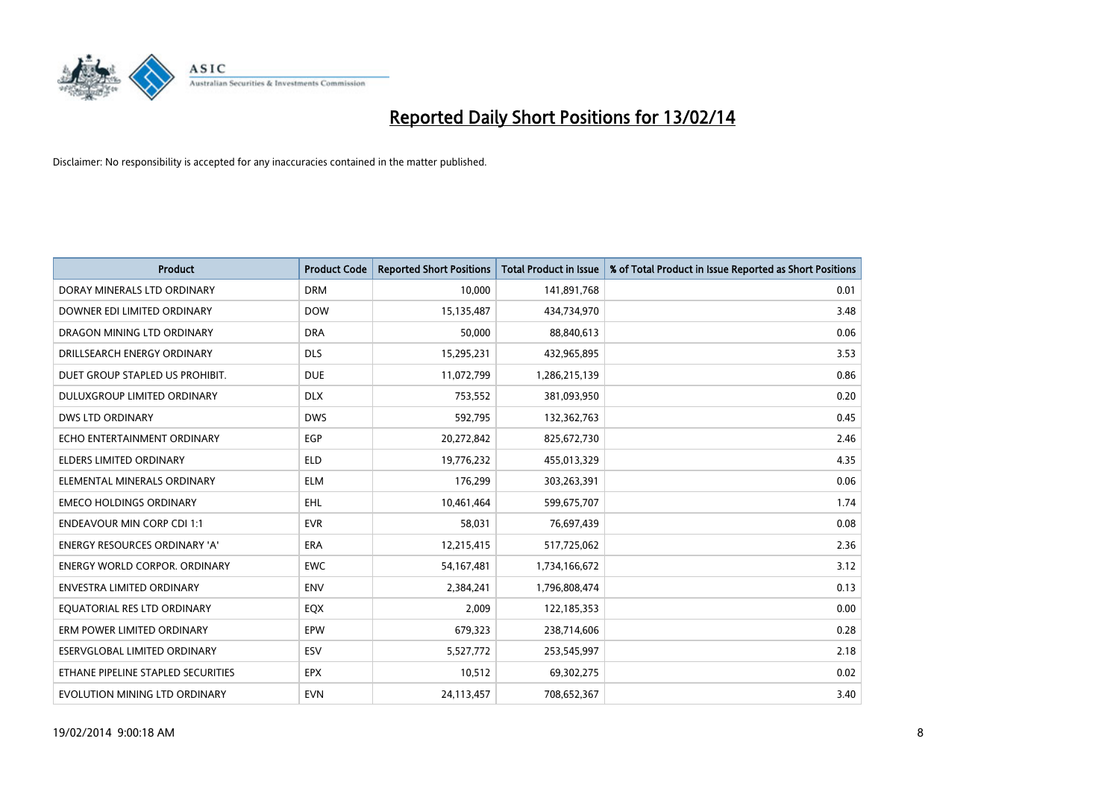

| <b>Product</b>                       | <b>Product Code</b> | <b>Reported Short Positions</b> | <b>Total Product in Issue</b> | % of Total Product in Issue Reported as Short Positions |
|--------------------------------------|---------------------|---------------------------------|-------------------------------|---------------------------------------------------------|
| DORAY MINERALS LTD ORDINARY          | <b>DRM</b>          | 10,000                          | 141,891,768                   | 0.01                                                    |
| DOWNER EDI LIMITED ORDINARY          | <b>DOW</b>          | 15,135,487                      | 434,734,970                   | 3.48                                                    |
| DRAGON MINING LTD ORDINARY           | <b>DRA</b>          | 50,000                          | 88,840,613                    | 0.06                                                    |
| DRILLSEARCH ENERGY ORDINARY          | <b>DLS</b>          | 15,295,231                      | 432,965,895                   | 3.53                                                    |
| DUET GROUP STAPLED US PROHIBIT.      | <b>DUE</b>          | 11,072,799                      | 1,286,215,139                 | 0.86                                                    |
| DULUXGROUP LIMITED ORDINARY          | <b>DLX</b>          | 753,552                         | 381,093,950                   | 0.20                                                    |
| <b>DWS LTD ORDINARY</b>              | <b>DWS</b>          | 592,795                         | 132,362,763                   | 0.45                                                    |
| ECHO ENTERTAINMENT ORDINARY          | <b>EGP</b>          | 20,272,842                      | 825,672,730                   | 2.46                                                    |
| <b>ELDERS LIMITED ORDINARY</b>       | <b>ELD</b>          | 19,776,232                      | 455,013,329                   | 4.35                                                    |
| ELEMENTAL MINERALS ORDINARY          | <b>ELM</b>          | 176,299                         | 303,263,391                   | 0.06                                                    |
| <b>EMECO HOLDINGS ORDINARY</b>       | <b>EHL</b>          | 10,461,464                      | 599,675,707                   | 1.74                                                    |
| <b>ENDEAVOUR MIN CORP CDI 1:1</b>    | <b>EVR</b>          | 58,031                          | 76,697,439                    | 0.08                                                    |
| ENERGY RESOURCES ORDINARY 'A'        | <b>ERA</b>          | 12,215,415                      | 517,725,062                   | 2.36                                                    |
| <b>ENERGY WORLD CORPOR, ORDINARY</b> | <b>EWC</b>          | 54, 167, 481                    | 1,734,166,672                 | 3.12                                                    |
| <b>ENVESTRA LIMITED ORDINARY</b>     | <b>ENV</b>          | 2,384,241                       | 1,796,808,474                 | 0.13                                                    |
| EQUATORIAL RES LTD ORDINARY          | EQX                 | 2,009                           | 122,185,353                   | 0.00                                                    |
| ERM POWER LIMITED ORDINARY           | EPW                 | 679,323                         | 238,714,606                   | 0.28                                                    |
| ESERVGLOBAL LIMITED ORDINARY         | ESV                 | 5,527,772                       | 253,545,997                   | 2.18                                                    |
| ETHANE PIPELINE STAPLED SECURITIES   | <b>EPX</b>          | 10,512                          | 69,302,275                    | 0.02                                                    |
| EVOLUTION MINING LTD ORDINARY        | <b>EVN</b>          | 24,113,457                      | 708,652,367                   | 3.40                                                    |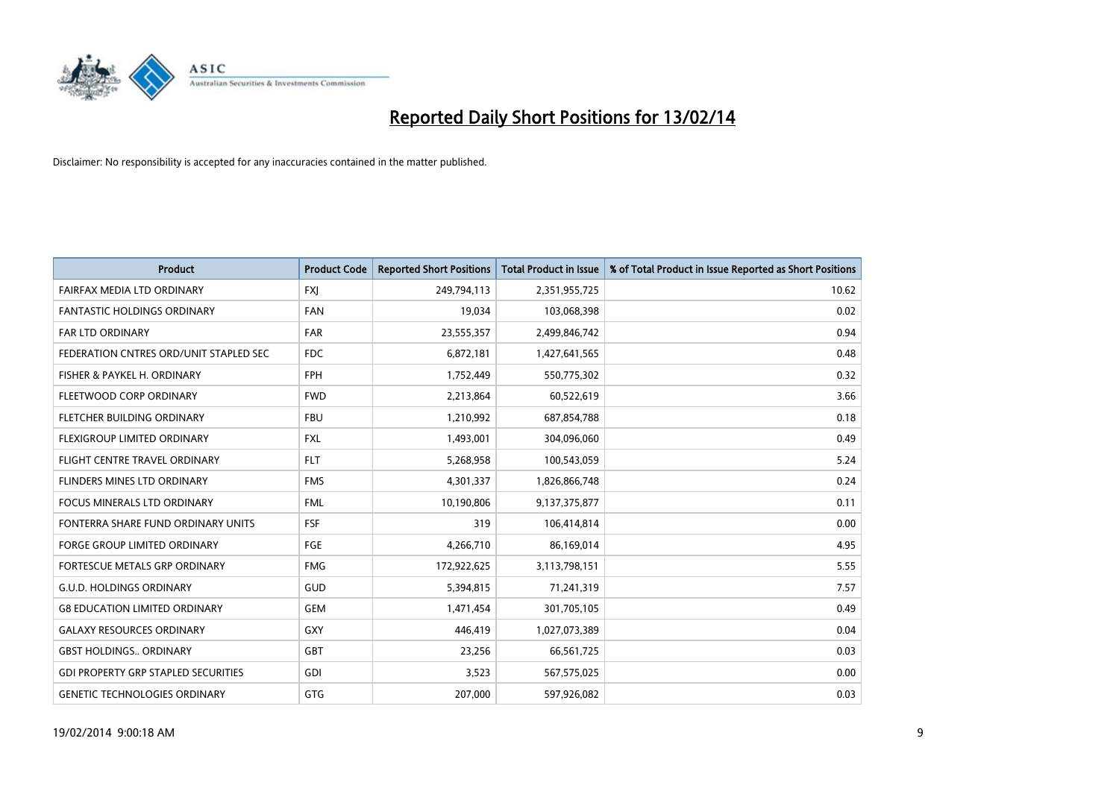

| <b>Product</b>                             | <b>Product Code</b> | <b>Reported Short Positions</b> | <b>Total Product in Issue</b> | % of Total Product in Issue Reported as Short Positions |
|--------------------------------------------|---------------------|---------------------------------|-------------------------------|---------------------------------------------------------|
| <b>FAIRFAX MEDIA LTD ORDINARY</b>          | <b>FXJ</b>          | 249,794,113                     | 2,351,955,725                 | 10.62                                                   |
| FANTASTIC HOLDINGS ORDINARY                | <b>FAN</b>          | 19,034                          | 103,068,398                   | 0.02                                                    |
| <b>FAR LTD ORDINARY</b>                    | <b>FAR</b>          | 23,555,357                      | 2,499,846,742                 | 0.94                                                    |
| FEDERATION CNTRES ORD/UNIT STAPLED SEC     | <b>FDC</b>          | 6,872,181                       | 1,427,641,565                 | 0.48                                                    |
| FISHER & PAYKEL H. ORDINARY                | <b>FPH</b>          | 1,752,449                       | 550,775,302                   | 0.32                                                    |
| FLEETWOOD CORP ORDINARY                    | <b>FWD</b>          | 2,213,864                       | 60,522,619                    | 3.66                                                    |
| FLETCHER BUILDING ORDINARY                 | <b>FBU</b>          | 1,210,992                       | 687,854,788                   | 0.18                                                    |
| FLEXIGROUP LIMITED ORDINARY                | FXL                 | 1,493,001                       | 304,096,060                   | 0.49                                                    |
| FLIGHT CENTRE TRAVEL ORDINARY              | <b>FLT</b>          | 5,268,958                       | 100,543,059                   | 5.24                                                    |
| FLINDERS MINES LTD ORDINARY                | <b>FMS</b>          | 4,301,337                       | 1,826,866,748                 | 0.24                                                    |
| FOCUS MINERALS LTD ORDINARY                | <b>FML</b>          | 10,190,806                      | 9,137,375,877                 | 0.11                                                    |
| FONTERRA SHARE FUND ORDINARY UNITS         | <b>FSF</b>          | 319                             | 106,414,814                   | 0.00                                                    |
| FORGE GROUP LIMITED ORDINARY               | FGE                 | 4,266,710                       | 86,169,014                    | 4.95                                                    |
| FORTESCUE METALS GRP ORDINARY              | <b>FMG</b>          | 172,922,625                     | 3,113,798,151                 | 5.55                                                    |
| <b>G.U.D. HOLDINGS ORDINARY</b>            | <b>GUD</b>          | 5,394,815                       | 71,241,319                    | 7.57                                                    |
| <b>G8 EDUCATION LIMITED ORDINARY</b>       | GEM                 | 1,471,454                       | 301,705,105                   | 0.49                                                    |
| <b>GALAXY RESOURCES ORDINARY</b>           | GXY                 | 446,419                         | 1,027,073,389                 | 0.04                                                    |
| <b>GBST HOLDINGS ORDINARY</b>              | <b>GBT</b>          | 23,256                          | 66,561,725                    | 0.03                                                    |
| <b>GDI PROPERTY GRP STAPLED SECURITIES</b> | GDI                 | 3,523                           | 567,575,025                   | 0.00                                                    |
| <b>GENETIC TECHNOLOGIES ORDINARY</b>       | GTG                 | 207,000                         | 597,926,082                   | 0.03                                                    |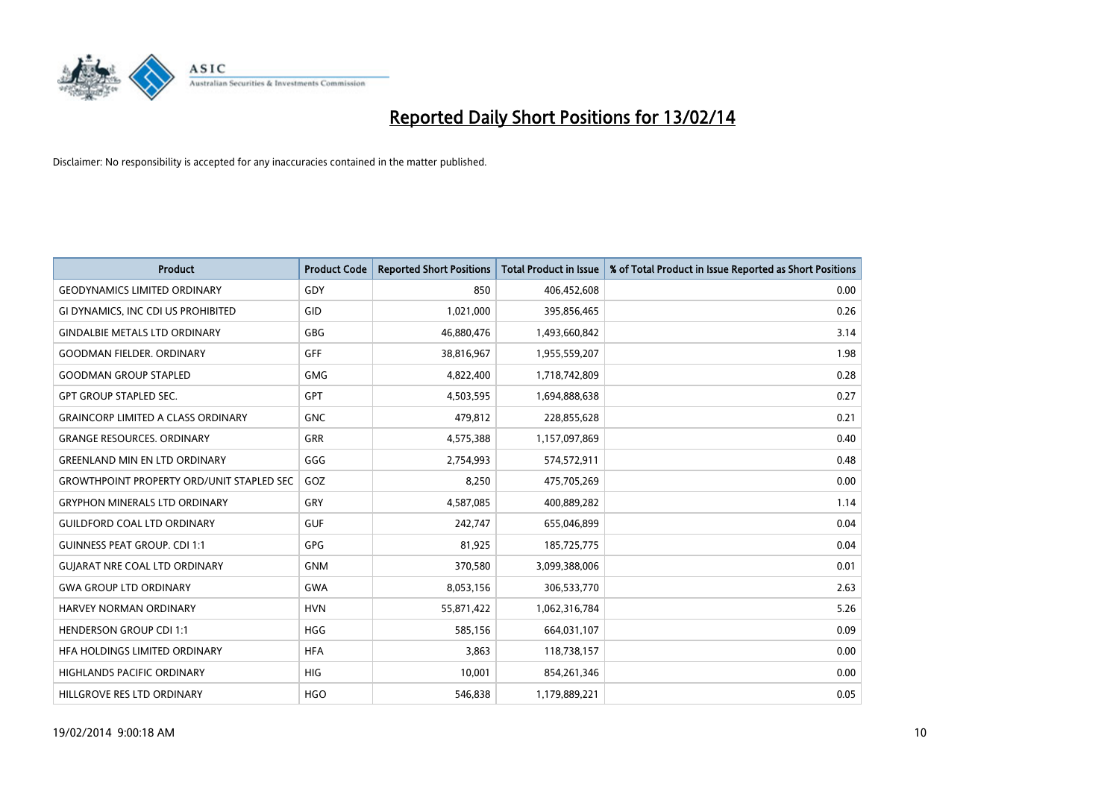

| <b>Product</b>                                   | <b>Product Code</b> | <b>Reported Short Positions</b> | <b>Total Product in Issue</b> | % of Total Product in Issue Reported as Short Positions |
|--------------------------------------------------|---------------------|---------------------------------|-------------------------------|---------------------------------------------------------|
| <b>GEODYNAMICS LIMITED ORDINARY</b>              | GDY                 | 850                             | 406,452,608                   | 0.00                                                    |
| GI DYNAMICS, INC CDI US PROHIBITED               | <b>GID</b>          | 1,021,000                       | 395,856,465                   | 0.26                                                    |
| <b>GINDALBIE METALS LTD ORDINARY</b>             | <b>GBG</b>          | 46,880,476                      | 1,493,660,842                 | 3.14                                                    |
| <b>GOODMAN FIELDER. ORDINARY</b>                 | <b>GFF</b>          | 38,816,967                      | 1,955,559,207                 | 1.98                                                    |
| <b>GOODMAN GROUP STAPLED</b>                     | <b>GMG</b>          | 4,822,400                       | 1,718,742,809                 | 0.28                                                    |
| <b>GPT GROUP STAPLED SEC.</b>                    | GPT                 | 4,503,595                       | 1,694,888,638                 | 0.27                                                    |
| <b>GRAINCORP LIMITED A CLASS ORDINARY</b>        | <b>GNC</b>          | 479,812                         | 228,855,628                   | 0.21                                                    |
| <b>GRANGE RESOURCES. ORDINARY</b>                | <b>GRR</b>          | 4,575,388                       | 1,157,097,869                 | 0.40                                                    |
| <b>GREENLAND MIN EN LTD ORDINARY</b>             | GGG                 | 2,754,993                       | 574,572,911                   | 0.48                                                    |
| <b>GROWTHPOINT PROPERTY ORD/UNIT STAPLED SEC</b> | GOZ                 | 8,250                           | 475,705,269                   | 0.00                                                    |
| <b>GRYPHON MINERALS LTD ORDINARY</b>             | GRY                 | 4,587,085                       | 400,889,282                   | 1.14                                                    |
| <b>GUILDFORD COAL LTD ORDINARY</b>               | <b>GUF</b>          | 242,747                         | 655,046,899                   | 0.04                                                    |
| <b>GUINNESS PEAT GROUP. CDI 1:1</b>              | GPG                 | 81,925                          | 185,725,775                   | 0.04                                                    |
| <b>GUIARAT NRE COAL LTD ORDINARY</b>             | <b>GNM</b>          | 370,580                         | 3,099,388,006                 | 0.01                                                    |
| <b>GWA GROUP LTD ORDINARY</b>                    | <b>GWA</b>          | 8,053,156                       | 306,533,770                   | 2.63                                                    |
| <b>HARVEY NORMAN ORDINARY</b>                    | <b>HVN</b>          | 55,871,422                      | 1,062,316,784                 | 5.26                                                    |
| <b>HENDERSON GROUP CDI 1:1</b>                   | <b>HGG</b>          | 585,156                         | 664,031,107                   | 0.09                                                    |
| HFA HOLDINGS LIMITED ORDINARY                    | <b>HFA</b>          | 3,863                           | 118,738,157                   | 0.00                                                    |
| <b>HIGHLANDS PACIFIC ORDINARY</b>                | <b>HIG</b>          | 10,001                          | 854,261,346                   | 0.00                                                    |
| HILLGROVE RES LTD ORDINARY                       | <b>HGO</b>          | 546,838                         | 1,179,889,221                 | 0.05                                                    |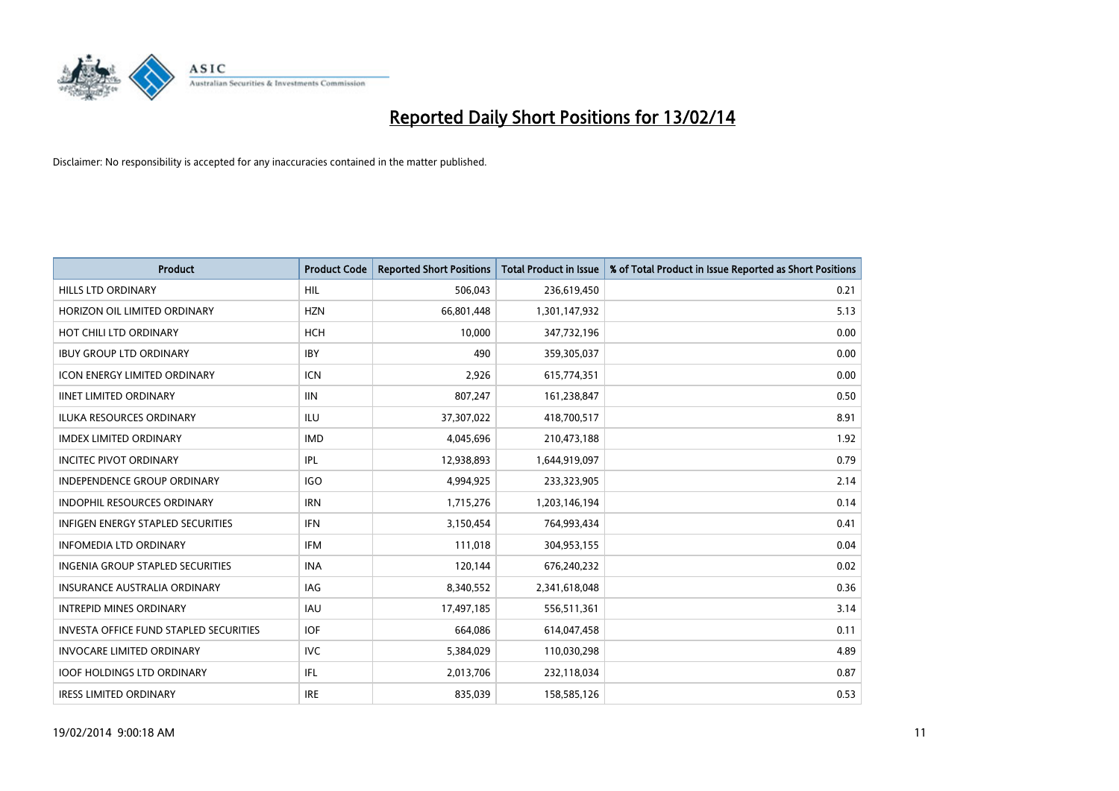

| <b>Product</b>                           | <b>Product Code</b> | <b>Reported Short Positions</b> | <b>Total Product in Issue</b> | % of Total Product in Issue Reported as Short Positions |
|------------------------------------------|---------------------|---------------------------------|-------------------------------|---------------------------------------------------------|
| <b>HILLS LTD ORDINARY</b>                | <b>HIL</b>          | 506,043                         | 236,619,450                   | 0.21                                                    |
| HORIZON OIL LIMITED ORDINARY             | <b>HZN</b>          | 66,801,448                      | 1,301,147,932                 | 5.13                                                    |
| HOT CHILI LTD ORDINARY                   | HCH                 | 10,000                          | 347,732,196                   | 0.00                                                    |
| <b>IBUY GROUP LTD ORDINARY</b>           | <b>IBY</b>          | 490                             | 359,305,037                   | 0.00                                                    |
| <b>ICON ENERGY LIMITED ORDINARY</b>      | <b>ICN</b>          | 2,926                           | 615,774,351                   | 0.00                                                    |
| <b>IINET LIMITED ORDINARY</b>            | <b>IIN</b>          | 807,247                         | 161,238,847                   | 0.50                                                    |
| <b>ILUKA RESOURCES ORDINARY</b>          | ILU                 | 37,307,022                      | 418,700,517                   | 8.91                                                    |
| <b>IMDEX LIMITED ORDINARY</b>            | <b>IMD</b>          | 4,045,696                       | 210,473,188                   | 1.92                                                    |
| <b>INCITEC PIVOT ORDINARY</b>            | IPL                 | 12,938,893                      | 1,644,919,097                 | 0.79                                                    |
| <b>INDEPENDENCE GROUP ORDINARY</b>       | <b>IGO</b>          | 4,994,925                       | 233,323,905                   | 2.14                                                    |
| INDOPHIL RESOURCES ORDINARY              | <b>IRN</b>          | 1,715,276                       | 1,203,146,194                 | 0.14                                                    |
| <b>INFIGEN ENERGY STAPLED SECURITIES</b> | <b>IFN</b>          | 3,150,454                       | 764,993,434                   | 0.41                                                    |
| <b>INFOMEDIA LTD ORDINARY</b>            | <b>IFM</b>          | 111,018                         | 304,953,155                   | 0.04                                                    |
| <b>INGENIA GROUP STAPLED SECURITIES</b>  | <b>INA</b>          | 120,144                         | 676,240,232                   | 0.02                                                    |
| <b>INSURANCE AUSTRALIA ORDINARY</b>      | <b>IAG</b>          | 8,340,552                       | 2,341,618,048                 | 0.36                                                    |
| <b>INTREPID MINES ORDINARY</b>           | <b>IAU</b>          | 17,497,185                      | 556,511,361                   | 3.14                                                    |
| INVESTA OFFICE FUND STAPLED SECURITIES   | <b>IOF</b>          | 664,086                         | 614,047,458                   | 0.11                                                    |
| <b>INVOCARE LIMITED ORDINARY</b>         | <b>IVC</b>          | 5,384,029                       | 110,030,298                   | 4.89                                                    |
| <b>IOOF HOLDINGS LTD ORDINARY</b>        | IFL                 | 2,013,706                       | 232,118,034                   | 0.87                                                    |
| <b>IRESS LIMITED ORDINARY</b>            | <b>IRE</b>          | 835,039                         | 158,585,126                   | 0.53                                                    |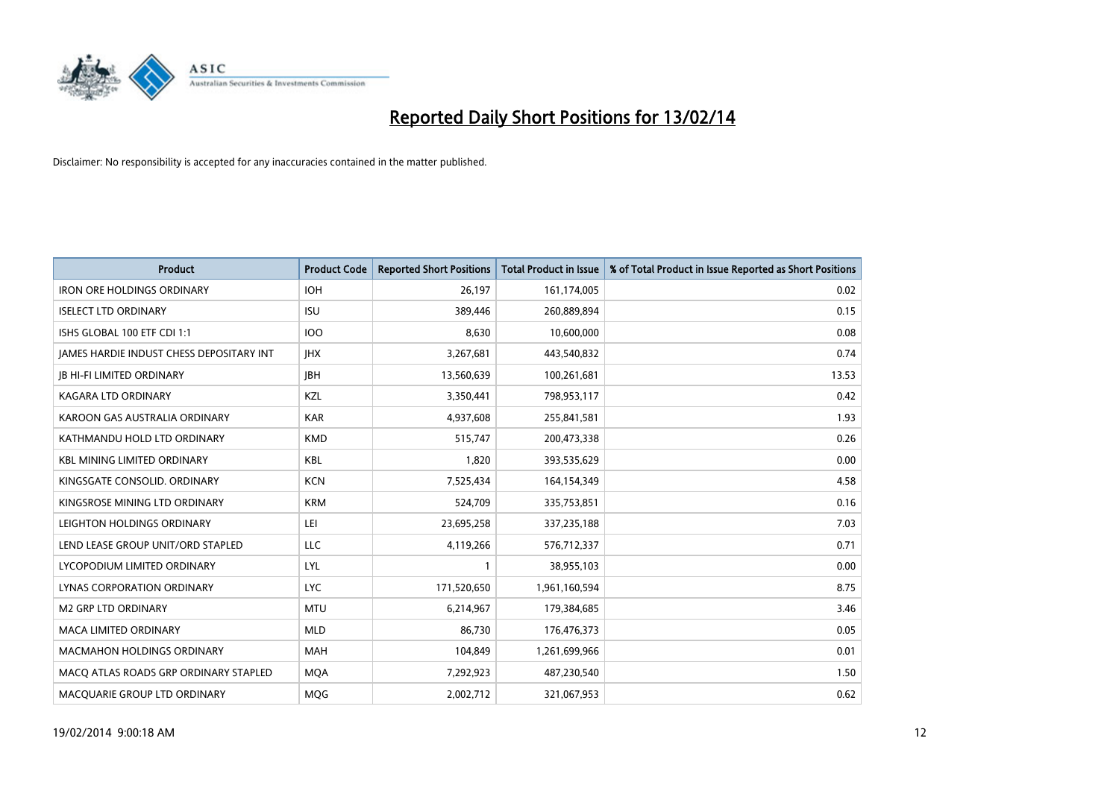

| <b>Product</b>                           | <b>Product Code</b> | <b>Reported Short Positions</b> | <b>Total Product in Issue</b> | % of Total Product in Issue Reported as Short Positions |
|------------------------------------------|---------------------|---------------------------------|-------------------------------|---------------------------------------------------------|
| <b>IRON ORE HOLDINGS ORDINARY</b>        | <b>IOH</b>          | 26,197                          | 161,174,005                   | 0.02                                                    |
| <b>ISELECT LTD ORDINARY</b>              | <b>ISU</b>          | 389,446                         | 260,889,894                   | 0.15                                                    |
| ISHS GLOBAL 100 ETF CDI 1:1              | <b>IOO</b>          | 8,630                           | 10,600,000                    | 0.08                                                    |
| JAMES HARDIE INDUST CHESS DEPOSITARY INT | <b>IHX</b>          | 3,267,681                       | 443,540,832                   | 0.74                                                    |
| <b>IB HI-FI LIMITED ORDINARY</b>         | <b>IBH</b>          | 13,560,639                      | 100,261,681                   | 13.53                                                   |
| <b>KAGARA LTD ORDINARY</b>               | KZL                 | 3,350,441                       | 798,953,117                   | 0.42                                                    |
| KAROON GAS AUSTRALIA ORDINARY            | <b>KAR</b>          | 4,937,608                       | 255,841,581                   | 1.93                                                    |
| KATHMANDU HOLD LTD ORDINARY              | <b>KMD</b>          | 515,747                         | 200,473,338                   | 0.26                                                    |
| <b>KBL MINING LIMITED ORDINARY</b>       | <b>KBL</b>          | 1,820                           | 393,535,629                   | 0.00                                                    |
| KINGSGATE CONSOLID, ORDINARY             | <b>KCN</b>          | 7,525,434                       | 164,154,349                   | 4.58                                                    |
| KINGSROSE MINING LTD ORDINARY            | <b>KRM</b>          | 524,709                         | 335,753,851                   | 0.16                                                    |
| LEIGHTON HOLDINGS ORDINARY               | LEI                 | 23,695,258                      | 337,235,188                   | 7.03                                                    |
| LEND LEASE GROUP UNIT/ORD STAPLED        | LLC                 | 4,119,266                       | 576,712,337                   | 0.71                                                    |
| LYCOPODIUM LIMITED ORDINARY              | LYL                 |                                 | 38,955,103                    | 0.00                                                    |
| LYNAS CORPORATION ORDINARY               | <b>LYC</b>          | 171,520,650                     | 1,961,160,594                 | 8.75                                                    |
| <b>M2 GRP LTD ORDINARY</b>               | <b>MTU</b>          | 6,214,967                       | 179,384,685                   | 3.46                                                    |
| MACA LIMITED ORDINARY                    | <b>MLD</b>          | 86,730                          | 176,476,373                   | 0.05                                                    |
| MACMAHON HOLDINGS ORDINARY               | <b>MAH</b>          | 104,849                         | 1,261,699,966                 | 0.01                                                    |
| MACO ATLAS ROADS GRP ORDINARY STAPLED    | <b>MOA</b>          | 7,292,923                       | 487,230,540                   | 1.50                                                    |
| MACQUARIE GROUP LTD ORDINARY             | MQG                 | 2,002,712                       | 321,067,953                   | 0.62                                                    |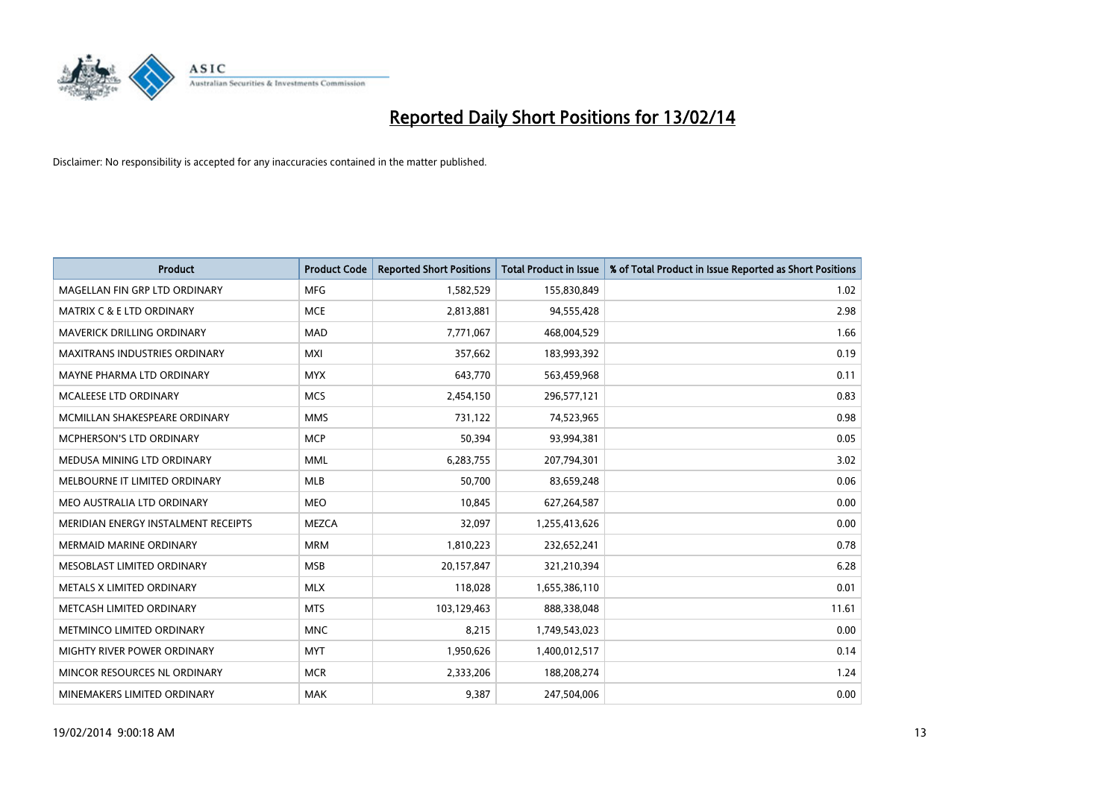

| <b>Product</b>                       | <b>Product Code</b> | <b>Reported Short Positions</b> | <b>Total Product in Issue</b> | % of Total Product in Issue Reported as Short Positions |
|--------------------------------------|---------------------|---------------------------------|-------------------------------|---------------------------------------------------------|
| MAGELLAN FIN GRP LTD ORDINARY        | <b>MFG</b>          | 1,582,529                       | 155,830,849                   | 1.02                                                    |
| <b>MATRIX C &amp; E LTD ORDINARY</b> | <b>MCE</b>          | 2,813,881                       | 94,555,428                    | 2.98                                                    |
| <b>MAVERICK DRILLING ORDINARY</b>    | <b>MAD</b>          | 7,771,067                       | 468,004,529                   | 1.66                                                    |
| <b>MAXITRANS INDUSTRIES ORDINARY</b> | <b>MXI</b>          | 357,662                         | 183,993,392                   | 0.19                                                    |
| MAYNE PHARMA LTD ORDINARY            | <b>MYX</b>          | 643,770                         | 563,459,968                   | 0.11                                                    |
| MCALEESE LTD ORDINARY                | <b>MCS</b>          | 2,454,150                       | 296,577,121                   | 0.83                                                    |
| MCMILLAN SHAKESPEARE ORDINARY        | <b>MMS</b>          | 731,122                         | 74,523,965                    | 0.98                                                    |
| MCPHERSON'S LTD ORDINARY             | <b>MCP</b>          | 50,394                          | 93,994,381                    | 0.05                                                    |
| MEDUSA MINING LTD ORDINARY           | <b>MML</b>          | 6,283,755                       | 207,794,301                   | 3.02                                                    |
| MELBOURNE IT LIMITED ORDINARY        | <b>MLB</b>          | 50,700                          | 83,659,248                    | 0.06                                                    |
| MEO AUSTRALIA LTD ORDINARY           | <b>MEO</b>          | 10,845                          | 627,264,587                   | 0.00                                                    |
| MERIDIAN ENERGY INSTALMENT RECEIPTS  | <b>MEZCA</b>        | 32,097                          | 1,255,413,626                 | 0.00                                                    |
| <b>MERMAID MARINE ORDINARY</b>       | <b>MRM</b>          | 1,810,223                       | 232,652,241                   | 0.78                                                    |
| MESOBLAST LIMITED ORDINARY           | <b>MSB</b>          | 20,157,847                      | 321,210,394                   | 6.28                                                    |
| METALS X LIMITED ORDINARY            | <b>MLX</b>          | 118,028                         | 1,655,386,110                 | 0.01                                                    |
| METCASH LIMITED ORDINARY             | <b>MTS</b>          | 103,129,463                     | 888,338,048                   | 11.61                                                   |
| METMINCO LIMITED ORDINARY            | <b>MNC</b>          | 8,215                           | 1,749,543,023                 | 0.00                                                    |
| MIGHTY RIVER POWER ORDINARY          | <b>MYT</b>          | 1,950,626                       | 1,400,012,517                 | 0.14                                                    |
| MINCOR RESOURCES NL ORDINARY         | <b>MCR</b>          | 2,333,206                       | 188,208,274                   | 1.24                                                    |
| MINEMAKERS LIMITED ORDINARY          | <b>MAK</b>          | 9,387                           | 247,504,006                   | 0.00                                                    |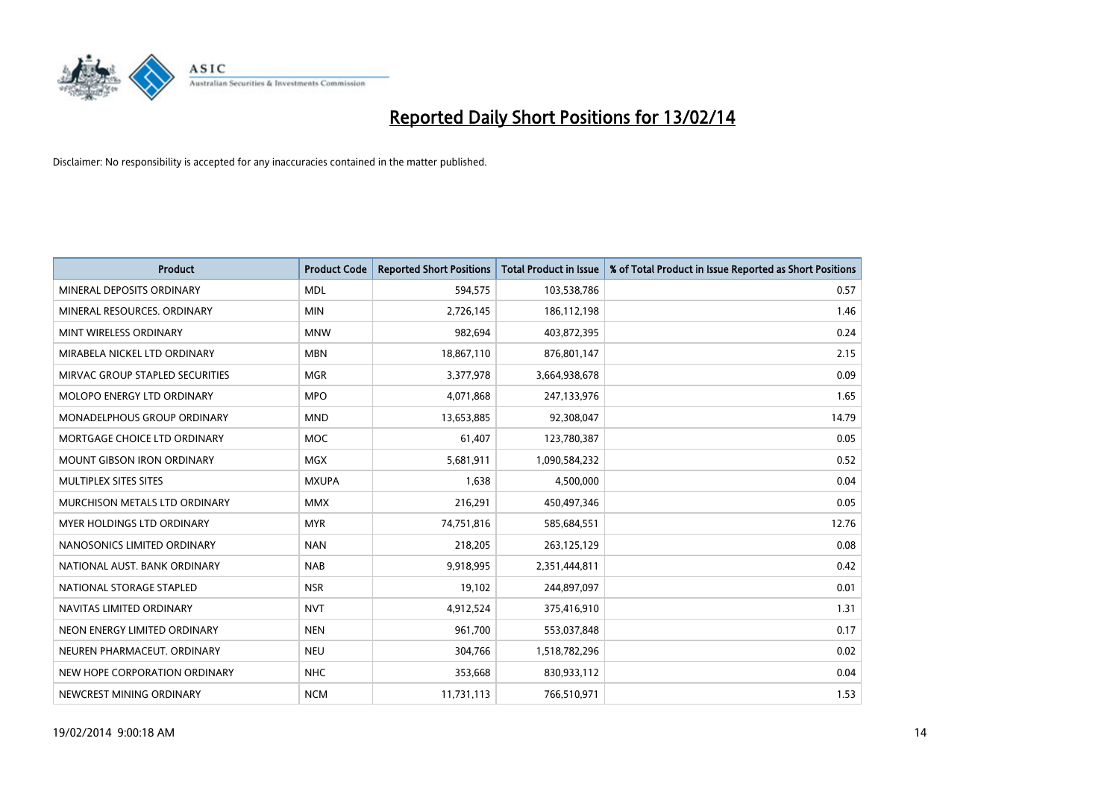

| <b>Product</b>                    | <b>Product Code</b> | <b>Reported Short Positions</b> | <b>Total Product in Issue</b> | % of Total Product in Issue Reported as Short Positions |
|-----------------------------------|---------------------|---------------------------------|-------------------------------|---------------------------------------------------------|
| MINERAL DEPOSITS ORDINARY         | <b>MDL</b>          | 594,575                         | 103,538,786                   | 0.57                                                    |
| MINERAL RESOURCES. ORDINARY       | <b>MIN</b>          | 2,726,145                       | 186,112,198                   | 1.46                                                    |
| MINT WIRELESS ORDINARY            | <b>MNW</b>          | 982,694                         | 403,872,395                   | 0.24                                                    |
| MIRABELA NICKEL LTD ORDINARY      | <b>MBN</b>          | 18,867,110                      | 876,801,147                   | 2.15                                                    |
| MIRVAC GROUP STAPLED SECURITIES   | <b>MGR</b>          | 3,377,978                       | 3,664,938,678                 | 0.09                                                    |
| MOLOPO ENERGY LTD ORDINARY        | <b>MPO</b>          | 4,071,868                       | 247,133,976                   | 1.65                                                    |
| MONADELPHOUS GROUP ORDINARY       | <b>MND</b>          | 13,653,885                      | 92,308,047                    | 14.79                                                   |
| MORTGAGE CHOICE LTD ORDINARY      | <b>MOC</b>          | 61,407                          | 123,780,387                   | 0.05                                                    |
| <b>MOUNT GIBSON IRON ORDINARY</b> | <b>MGX</b>          | 5,681,911                       | 1,090,584,232                 | 0.52                                                    |
| MULTIPLEX SITES SITES             | <b>MXUPA</b>        | 1,638                           | 4,500,000                     | 0.04                                                    |
| MURCHISON METALS LTD ORDINARY     | <b>MMX</b>          | 216,291                         | 450,497,346                   | 0.05                                                    |
| MYER HOLDINGS LTD ORDINARY        | <b>MYR</b>          | 74,751,816                      | 585,684,551                   | 12.76                                                   |
| NANOSONICS LIMITED ORDINARY       | <b>NAN</b>          | 218,205                         | 263,125,129                   | 0.08                                                    |
| NATIONAL AUST. BANK ORDINARY      | <b>NAB</b>          | 9,918,995                       | 2,351,444,811                 | 0.42                                                    |
| NATIONAL STORAGE STAPLED          | <b>NSR</b>          | 19,102                          | 244,897,097                   | 0.01                                                    |
| NAVITAS LIMITED ORDINARY          | <b>NVT</b>          | 4,912,524                       | 375,416,910                   | 1.31                                                    |
| NEON ENERGY LIMITED ORDINARY      | <b>NEN</b>          | 961,700                         | 553,037,848                   | 0.17                                                    |
| NEUREN PHARMACEUT. ORDINARY       | <b>NEU</b>          | 304,766                         | 1,518,782,296                 | 0.02                                                    |
| NEW HOPE CORPORATION ORDINARY     | <b>NHC</b>          | 353,668                         | 830,933,112                   | 0.04                                                    |
| NEWCREST MINING ORDINARY          | <b>NCM</b>          | 11,731,113                      | 766,510,971                   | 1.53                                                    |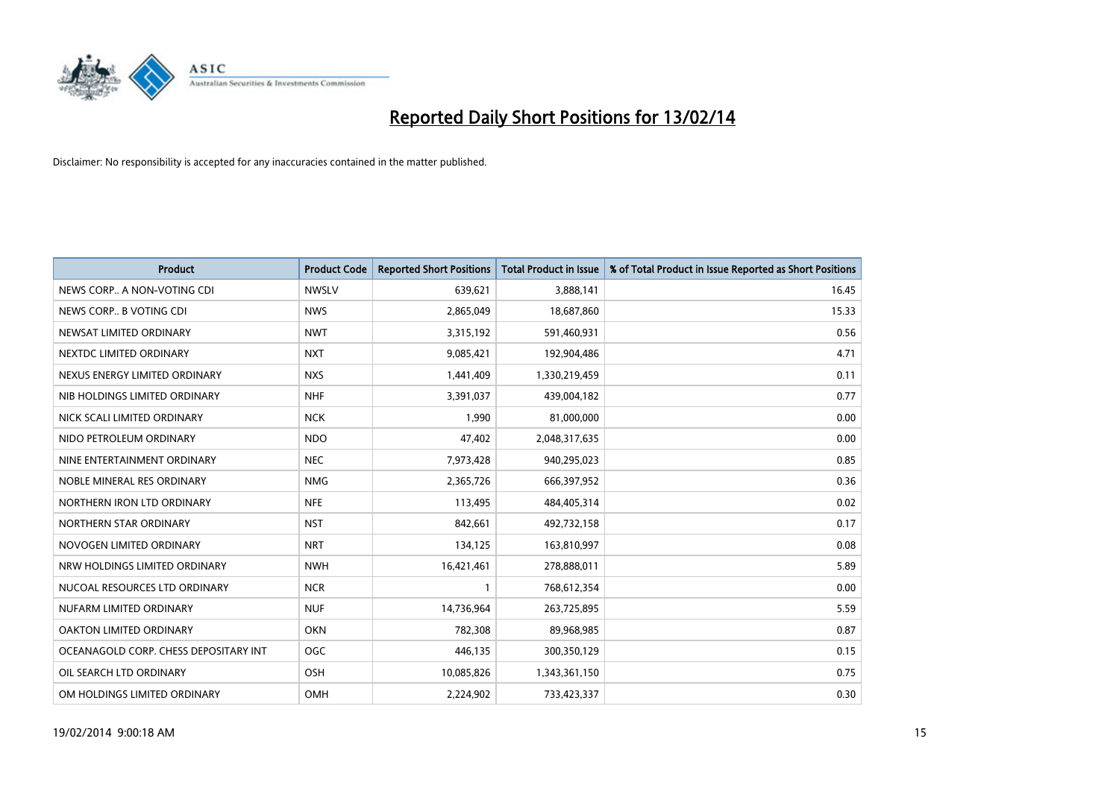

| <b>Product</b>                        | <b>Product Code</b> | <b>Reported Short Positions</b> | <b>Total Product in Issue</b> | % of Total Product in Issue Reported as Short Positions |
|---------------------------------------|---------------------|---------------------------------|-------------------------------|---------------------------------------------------------|
| NEWS CORP A NON-VOTING CDI            | <b>NWSLV</b>        | 639,621                         | 3,888,141                     | 16.45                                                   |
| NEWS CORP B VOTING CDI                | <b>NWS</b>          | 2,865,049                       | 18,687,860                    | 15.33                                                   |
| NEWSAT LIMITED ORDINARY               | <b>NWT</b>          | 3,315,192                       | 591,460,931                   | 0.56                                                    |
| NEXTDC LIMITED ORDINARY               | <b>NXT</b>          | 9,085,421                       | 192,904,486                   | 4.71                                                    |
| NEXUS ENERGY LIMITED ORDINARY         | <b>NXS</b>          | 1,441,409                       | 1,330,219,459                 | 0.11                                                    |
| NIB HOLDINGS LIMITED ORDINARY         | <b>NHF</b>          | 3,391,037                       | 439,004,182                   | 0.77                                                    |
| NICK SCALI LIMITED ORDINARY           | <b>NCK</b>          | 1,990                           | 81,000,000                    | 0.00                                                    |
| NIDO PETROLEUM ORDINARY               | <b>NDO</b>          | 47,402                          | 2,048,317,635                 | 0.00                                                    |
| NINE ENTERTAINMENT ORDINARY           | <b>NEC</b>          | 7,973,428                       | 940,295,023                   | 0.85                                                    |
| NOBLE MINERAL RES ORDINARY            | <b>NMG</b>          | 2,365,726                       | 666,397,952                   | 0.36                                                    |
| NORTHERN IRON LTD ORDINARY            | <b>NFE</b>          | 113,495                         | 484,405,314                   | 0.02                                                    |
| NORTHERN STAR ORDINARY                | <b>NST</b>          | 842,661                         | 492,732,158                   | 0.17                                                    |
| NOVOGEN LIMITED ORDINARY              | <b>NRT</b>          | 134,125                         | 163,810,997                   | 0.08                                                    |
| NRW HOLDINGS LIMITED ORDINARY         | <b>NWH</b>          | 16,421,461                      | 278,888,011                   | 5.89                                                    |
| NUCOAL RESOURCES LTD ORDINARY         | <b>NCR</b>          | $\mathbf{1}$                    | 768,612,354                   | 0.00                                                    |
| NUFARM LIMITED ORDINARY               | <b>NUF</b>          | 14,736,964                      | 263,725,895                   | 5.59                                                    |
| OAKTON LIMITED ORDINARY               | <b>OKN</b>          | 782,308                         | 89,968,985                    | 0.87                                                    |
| OCEANAGOLD CORP. CHESS DEPOSITARY INT | <b>OGC</b>          | 446,135                         | 300,350,129                   | 0.15                                                    |
| OIL SEARCH LTD ORDINARY               | OSH                 | 10,085,826                      | 1,343,361,150                 | 0.75                                                    |
| OM HOLDINGS LIMITED ORDINARY          | <b>OMH</b>          | 2,224,902                       | 733,423,337                   | 0.30                                                    |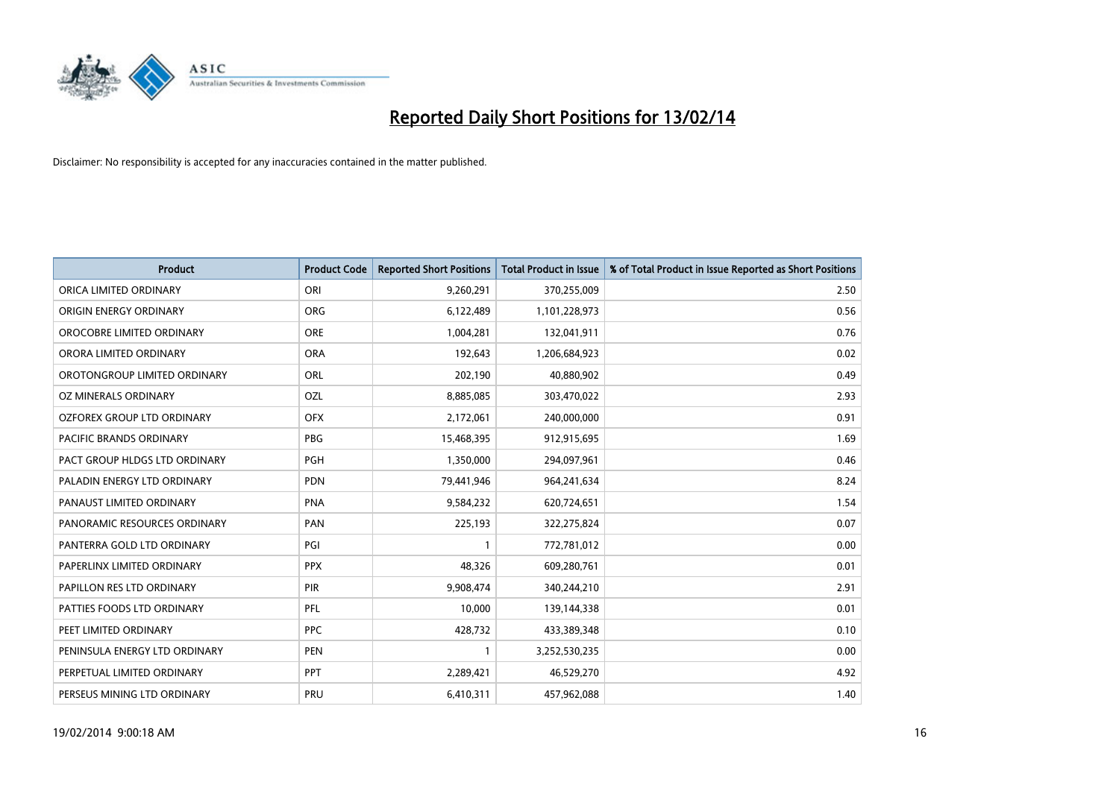

| <b>Product</b>                | <b>Product Code</b> | <b>Reported Short Positions</b> | <b>Total Product in Issue</b> | % of Total Product in Issue Reported as Short Positions |
|-------------------------------|---------------------|---------------------------------|-------------------------------|---------------------------------------------------------|
| ORICA LIMITED ORDINARY        | ORI                 | 9,260,291                       | 370,255,009                   | 2.50                                                    |
| ORIGIN ENERGY ORDINARY        | <b>ORG</b>          | 6,122,489                       | 1,101,228,973                 | 0.56                                                    |
| OROCOBRE LIMITED ORDINARY     | <b>ORE</b>          | 1,004,281                       | 132,041,911                   | 0.76                                                    |
| ORORA LIMITED ORDINARY        | <b>ORA</b>          | 192,643                         | 1,206,684,923                 | 0.02                                                    |
| OROTONGROUP LIMITED ORDINARY  | ORL                 | 202,190                         | 40,880,902                    | 0.49                                                    |
| OZ MINERALS ORDINARY          | OZL                 | 8,885,085                       | 303,470,022                   | 2.93                                                    |
| OZFOREX GROUP LTD ORDINARY    | <b>OFX</b>          | 2,172,061                       | 240,000,000                   | 0.91                                                    |
| PACIFIC BRANDS ORDINARY       | <b>PBG</b>          | 15,468,395                      | 912,915,695                   | 1.69                                                    |
| PACT GROUP HLDGS LTD ORDINARY | <b>PGH</b>          | 1,350,000                       | 294,097,961                   | 0.46                                                    |
| PALADIN ENERGY LTD ORDINARY   | <b>PDN</b>          | 79,441,946                      | 964,241,634                   | 8.24                                                    |
| PANAUST LIMITED ORDINARY      | <b>PNA</b>          | 9,584,232                       | 620,724,651                   | 1.54                                                    |
| PANORAMIC RESOURCES ORDINARY  | PAN                 | 225,193                         | 322,275,824                   | 0.07                                                    |
| PANTERRA GOLD LTD ORDINARY    | PGI                 | $\mathbf{1}$                    | 772,781,012                   | 0.00                                                    |
| PAPERLINX LIMITED ORDINARY    | <b>PPX</b>          | 48,326                          | 609,280,761                   | 0.01                                                    |
| PAPILLON RES LTD ORDINARY     | <b>PIR</b>          | 9,908,474                       | 340,244,210                   | 2.91                                                    |
| PATTIES FOODS LTD ORDINARY    | PFL                 | 10,000                          | 139,144,338                   | 0.01                                                    |
| PEET LIMITED ORDINARY         | <b>PPC</b>          | 428,732                         | 433,389,348                   | 0.10                                                    |
| PENINSULA ENERGY LTD ORDINARY | <b>PEN</b>          | 1                               | 3,252,530,235                 | 0.00                                                    |
| PERPETUAL LIMITED ORDINARY    | <b>PPT</b>          | 2,289,421                       | 46,529,270                    | 4.92                                                    |
| PERSEUS MINING LTD ORDINARY   | PRU                 | 6,410,311                       | 457,962,088                   | 1.40                                                    |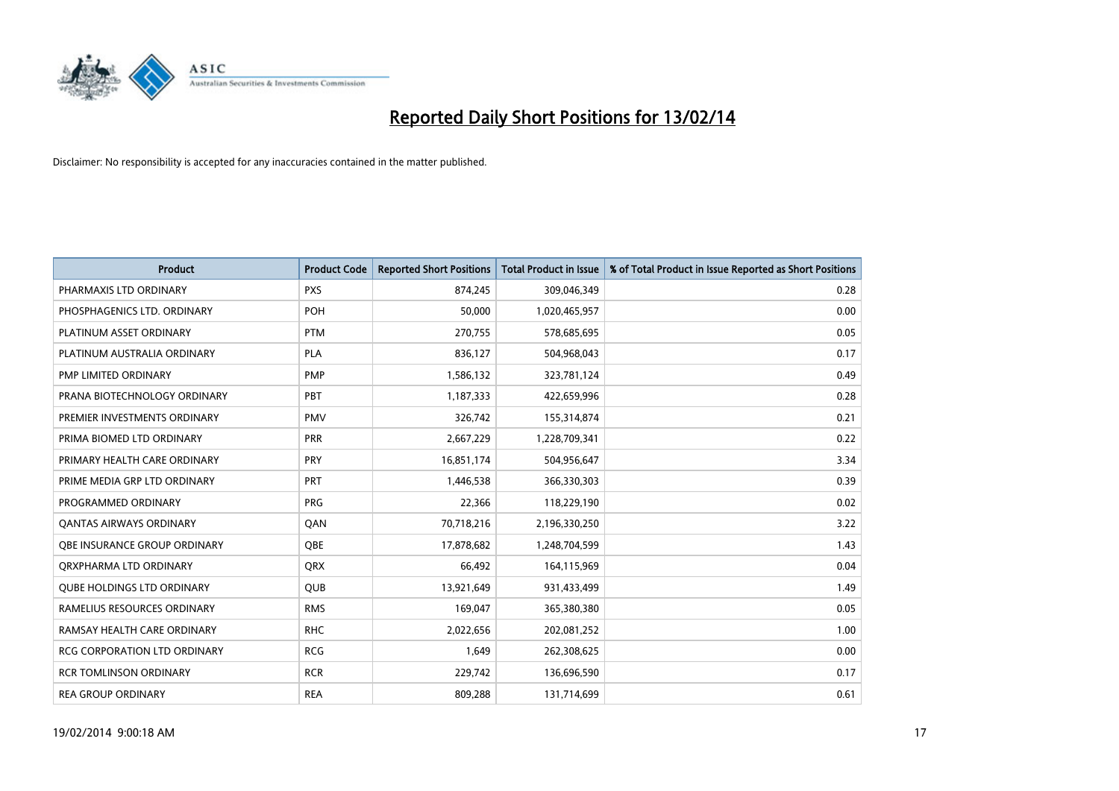

| <b>Product</b>                    | <b>Product Code</b> | <b>Reported Short Positions</b> | <b>Total Product in Issue</b> | % of Total Product in Issue Reported as Short Positions |
|-----------------------------------|---------------------|---------------------------------|-------------------------------|---------------------------------------------------------|
| PHARMAXIS LTD ORDINARY            | <b>PXS</b>          | 874,245                         | 309,046,349                   | 0.28                                                    |
| PHOSPHAGENICS LTD. ORDINARY       | POH                 | 50,000                          | 1,020,465,957                 | 0.00                                                    |
| PLATINUM ASSET ORDINARY           | <b>PTM</b>          | 270,755                         | 578,685,695                   | 0.05                                                    |
| PLATINUM AUSTRALIA ORDINARY       | <b>PLA</b>          | 836,127                         | 504,968,043                   | 0.17                                                    |
| PMP LIMITED ORDINARY              | <b>PMP</b>          | 1,586,132                       | 323,781,124                   | 0.49                                                    |
| PRANA BIOTECHNOLOGY ORDINARY      | PBT                 | 1,187,333                       | 422,659,996                   | 0.28                                                    |
| PREMIER INVESTMENTS ORDINARY      | <b>PMV</b>          | 326,742                         | 155,314,874                   | 0.21                                                    |
| PRIMA BIOMED LTD ORDINARY         | <b>PRR</b>          | 2,667,229                       | 1,228,709,341                 | 0.22                                                    |
| PRIMARY HEALTH CARE ORDINARY      | <b>PRY</b>          | 16,851,174                      | 504,956,647                   | 3.34                                                    |
| PRIME MEDIA GRP LTD ORDINARY      | <b>PRT</b>          | 1,446,538                       | 366,330,303                   | 0.39                                                    |
| PROGRAMMED ORDINARY               | <b>PRG</b>          | 22,366                          | 118,229,190                   | 0.02                                                    |
| <b>QANTAS AIRWAYS ORDINARY</b>    | QAN                 | 70,718,216                      | 2,196,330,250                 | 3.22                                                    |
| OBE INSURANCE GROUP ORDINARY      | <b>OBE</b>          | 17,878,682                      | 1,248,704,599                 | 1.43                                                    |
| ORXPHARMA LTD ORDINARY            | <b>QRX</b>          | 66,492                          | 164,115,969                   | 0.04                                                    |
| <b>QUBE HOLDINGS LTD ORDINARY</b> | <b>QUB</b>          | 13,921,649                      | 931,433,499                   | 1.49                                                    |
| RAMELIUS RESOURCES ORDINARY       | <b>RMS</b>          | 169,047                         | 365,380,380                   | 0.05                                                    |
| RAMSAY HEALTH CARE ORDINARY       | <b>RHC</b>          | 2,022,656                       | 202,081,252                   | 1.00                                                    |
| RCG CORPORATION LTD ORDINARY      | <b>RCG</b>          | 1,649                           | 262,308,625                   | 0.00                                                    |
| <b>RCR TOMLINSON ORDINARY</b>     | <b>RCR</b>          | 229,742                         | 136,696,590                   | 0.17                                                    |
| <b>REA GROUP ORDINARY</b>         | <b>REA</b>          | 809,288                         | 131,714,699                   | 0.61                                                    |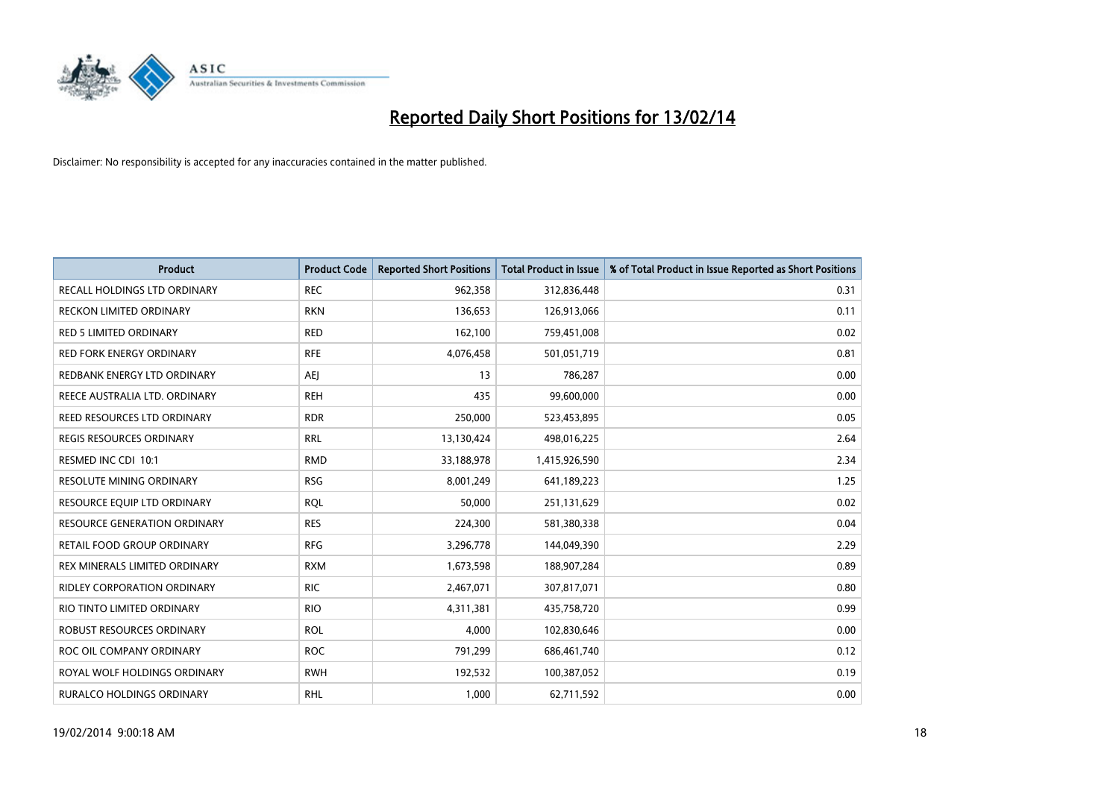

| <b>Product</b>                      | <b>Product Code</b> | <b>Reported Short Positions</b> | <b>Total Product in Issue</b> | % of Total Product in Issue Reported as Short Positions |
|-------------------------------------|---------------------|---------------------------------|-------------------------------|---------------------------------------------------------|
| RECALL HOLDINGS LTD ORDINARY        | <b>REC</b>          | 962,358                         | 312,836,448                   | 0.31                                                    |
| <b>RECKON LIMITED ORDINARY</b>      | <b>RKN</b>          | 136,653                         | 126,913,066                   | 0.11                                                    |
| <b>RED 5 LIMITED ORDINARY</b>       | <b>RED</b>          | 162,100                         | 759,451,008                   | 0.02                                                    |
| RED FORK ENERGY ORDINARY            | <b>RFE</b>          | 4,076,458                       | 501,051,719                   | 0.81                                                    |
| REDBANK ENERGY LTD ORDINARY         | <b>AEJ</b>          | 13                              | 786,287                       | 0.00                                                    |
| REECE AUSTRALIA LTD. ORDINARY       | <b>REH</b>          | 435                             | 99,600,000                    | 0.00                                                    |
| REED RESOURCES LTD ORDINARY         | <b>RDR</b>          | 250,000                         | 523,453,895                   | 0.05                                                    |
| REGIS RESOURCES ORDINARY            | <b>RRL</b>          | 13,130,424                      | 498,016,225                   | 2.64                                                    |
| RESMED INC CDI 10:1                 | <b>RMD</b>          | 33,188,978                      | 1,415,926,590                 | 2.34                                                    |
| <b>RESOLUTE MINING ORDINARY</b>     | <b>RSG</b>          | 8,001,249                       | 641,189,223                   | 1.25                                                    |
| RESOURCE EQUIP LTD ORDINARY         | <b>RQL</b>          | 50,000                          | 251,131,629                   | 0.02                                                    |
| <b>RESOURCE GENERATION ORDINARY</b> | <b>RES</b>          | 224,300                         | 581,380,338                   | 0.04                                                    |
| RETAIL FOOD GROUP ORDINARY          | <b>RFG</b>          | 3,296,778                       | 144,049,390                   | 2.29                                                    |
| REX MINERALS LIMITED ORDINARY       | <b>RXM</b>          | 1,673,598                       | 188,907,284                   | 0.89                                                    |
| <b>RIDLEY CORPORATION ORDINARY</b>  | <b>RIC</b>          | 2,467,071                       | 307,817,071                   | 0.80                                                    |
| RIO TINTO LIMITED ORDINARY          | <b>RIO</b>          | 4,311,381                       | 435,758,720                   | 0.99                                                    |
| ROBUST RESOURCES ORDINARY           | <b>ROL</b>          | 4,000                           | 102,830,646                   | 0.00                                                    |
| ROC OIL COMPANY ORDINARY            | <b>ROC</b>          | 791,299                         | 686,461,740                   | 0.12                                                    |
| ROYAL WOLF HOLDINGS ORDINARY        | <b>RWH</b>          | 192,532                         | 100,387,052                   | 0.19                                                    |
| RURALCO HOLDINGS ORDINARY           | <b>RHL</b>          | 1,000                           | 62,711,592                    | 0.00                                                    |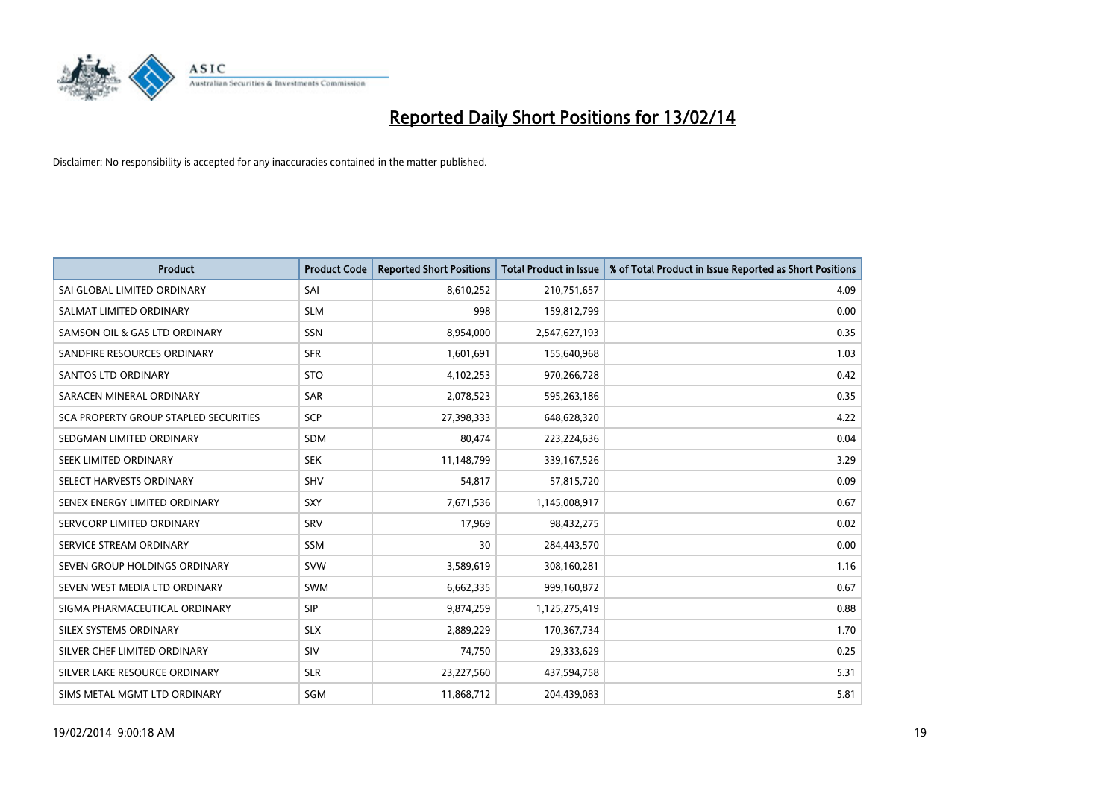

| <b>Product</b>                        | <b>Product Code</b> | <b>Reported Short Positions</b> | <b>Total Product in Issue</b> | % of Total Product in Issue Reported as Short Positions |
|---------------------------------------|---------------------|---------------------------------|-------------------------------|---------------------------------------------------------|
| SAI GLOBAL LIMITED ORDINARY           | SAI                 | 8,610,252                       | 210,751,657                   | 4.09                                                    |
| SALMAT LIMITED ORDINARY               | <b>SLM</b>          | 998                             | 159,812,799                   | 0.00                                                    |
| SAMSON OIL & GAS LTD ORDINARY         | SSN                 | 8,954,000                       | 2,547,627,193                 | 0.35                                                    |
| SANDFIRE RESOURCES ORDINARY           | <b>SFR</b>          | 1,601,691                       | 155,640,968                   | 1.03                                                    |
| <b>SANTOS LTD ORDINARY</b>            | <b>STO</b>          | 4,102,253                       | 970,266,728                   | 0.42                                                    |
| SARACEN MINERAL ORDINARY              | <b>SAR</b>          | 2,078,523                       | 595,263,186                   | 0.35                                                    |
| SCA PROPERTY GROUP STAPLED SECURITIES | <b>SCP</b>          | 27,398,333                      | 648,628,320                   | 4.22                                                    |
| SEDGMAN LIMITED ORDINARY              | SDM                 | 80,474                          | 223,224,636                   | 0.04                                                    |
| SEEK LIMITED ORDINARY                 | <b>SEK</b>          | 11,148,799                      | 339,167,526                   | 3.29                                                    |
| SELECT HARVESTS ORDINARY              | <b>SHV</b>          | 54,817                          | 57,815,720                    | 0.09                                                    |
| SENEX ENERGY LIMITED ORDINARY         | <b>SXY</b>          | 7,671,536                       | 1,145,008,917                 | 0.67                                                    |
| SERVCORP LIMITED ORDINARY             | SRV                 | 17,969                          | 98,432,275                    | 0.02                                                    |
| SERVICE STREAM ORDINARY               | SSM                 | 30                              | 284,443,570                   | 0.00                                                    |
| SEVEN GROUP HOLDINGS ORDINARY         | <b>SVW</b>          | 3,589,619                       | 308,160,281                   | 1.16                                                    |
| SEVEN WEST MEDIA LTD ORDINARY         | <b>SWM</b>          | 6,662,335                       | 999,160,872                   | 0.67                                                    |
| SIGMA PHARMACEUTICAL ORDINARY         | <b>SIP</b>          | 9,874,259                       | 1,125,275,419                 | 0.88                                                    |
| SILEX SYSTEMS ORDINARY                | <b>SLX</b>          | 2,889,229                       | 170,367,734                   | 1.70                                                    |
| SILVER CHEF LIMITED ORDINARY          | <b>SIV</b>          | 74,750                          | 29,333,629                    | 0.25                                                    |
| SILVER LAKE RESOURCE ORDINARY         | <b>SLR</b>          | 23,227,560                      | 437,594,758                   | 5.31                                                    |
| SIMS METAL MGMT LTD ORDINARY          | SGM                 | 11,868,712                      | 204,439,083                   | 5.81                                                    |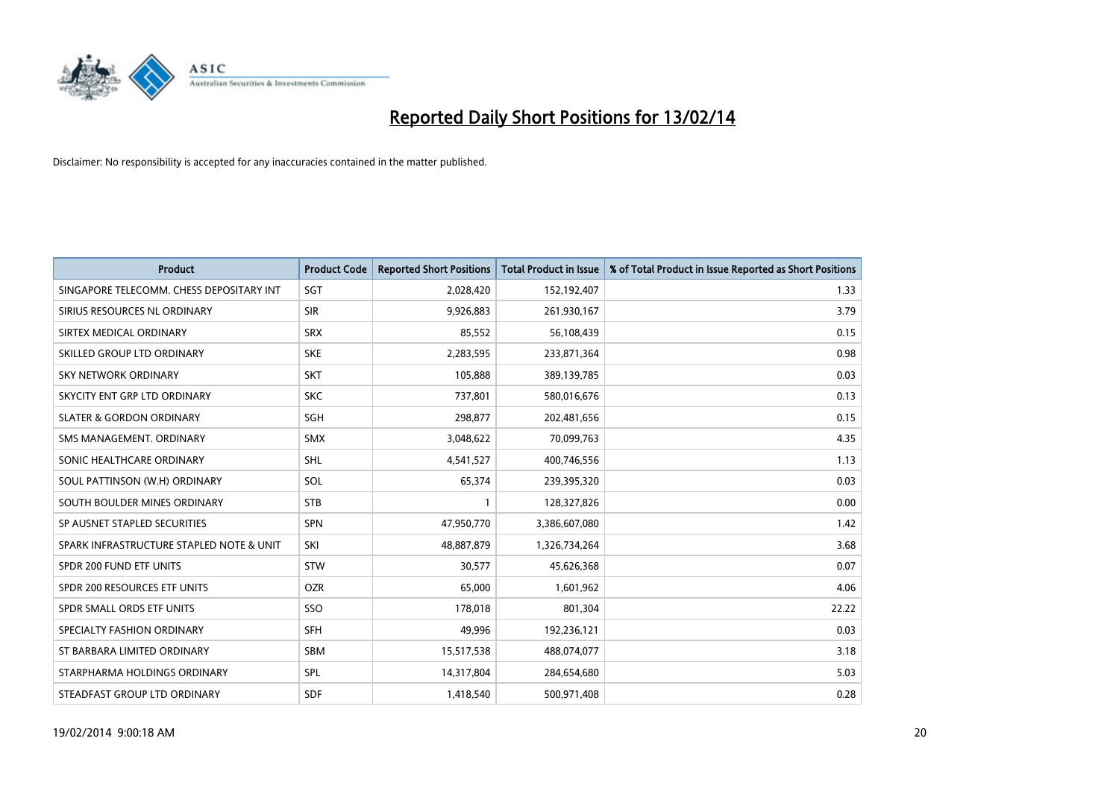

| <b>Product</b>                           | <b>Product Code</b> | <b>Reported Short Positions</b> | <b>Total Product in Issue</b> | % of Total Product in Issue Reported as Short Positions |
|------------------------------------------|---------------------|---------------------------------|-------------------------------|---------------------------------------------------------|
| SINGAPORE TELECOMM. CHESS DEPOSITARY INT | <b>SGT</b>          | 2,028,420                       | 152,192,407                   | 1.33                                                    |
| SIRIUS RESOURCES NL ORDINARY             | <b>SIR</b>          | 9,926,883                       | 261,930,167                   | 3.79                                                    |
| SIRTEX MEDICAL ORDINARY                  | <b>SRX</b>          | 85,552                          | 56,108,439                    | 0.15                                                    |
| SKILLED GROUP LTD ORDINARY               | <b>SKE</b>          | 2,283,595                       | 233,871,364                   | 0.98                                                    |
| <b>SKY NETWORK ORDINARY</b>              | <b>SKT</b>          | 105,888                         | 389,139,785                   | 0.03                                                    |
| SKYCITY ENT GRP LTD ORDINARY             | <b>SKC</b>          | 737,801                         | 580,016,676                   | 0.13                                                    |
| <b>SLATER &amp; GORDON ORDINARY</b>      | SGH                 | 298,877                         | 202,481,656                   | 0.15                                                    |
| SMS MANAGEMENT, ORDINARY                 | <b>SMX</b>          | 3,048,622                       | 70,099,763                    | 4.35                                                    |
| SONIC HEALTHCARE ORDINARY                | <b>SHL</b>          | 4,541,527                       | 400,746,556                   | 1.13                                                    |
| SOUL PATTINSON (W.H) ORDINARY            | SOL                 | 65,374                          | 239,395,320                   | 0.03                                                    |
| SOUTH BOULDER MINES ORDINARY             | <b>STB</b>          |                                 | 128,327,826                   | 0.00                                                    |
| SP AUSNET STAPLED SECURITIES             | SPN                 | 47,950,770                      | 3,386,607,080                 | 1.42                                                    |
| SPARK INFRASTRUCTURE STAPLED NOTE & UNIT | SKI                 | 48,887,879                      | 1,326,734,264                 | 3.68                                                    |
| SPDR 200 FUND ETF UNITS                  | <b>STW</b>          | 30,577                          | 45,626,368                    | 0.07                                                    |
| SPDR 200 RESOURCES ETF UNITS             | <b>OZR</b>          | 65,000                          | 1,601,962                     | 4.06                                                    |
| SPDR SMALL ORDS ETF UNITS                | SSO                 | 178,018                         | 801,304                       | 22.22                                                   |
| SPECIALTY FASHION ORDINARY               | <b>SFH</b>          | 49,996                          | 192,236,121                   | 0.03                                                    |
| ST BARBARA LIMITED ORDINARY              | <b>SBM</b>          | 15,517,538                      | 488,074,077                   | 3.18                                                    |
| STARPHARMA HOLDINGS ORDINARY             | SPL                 | 14,317,804                      | 284,654,680                   | 5.03                                                    |
| STEADFAST GROUP LTD ORDINARY             | <b>SDF</b>          | 1,418,540                       | 500,971,408                   | 0.28                                                    |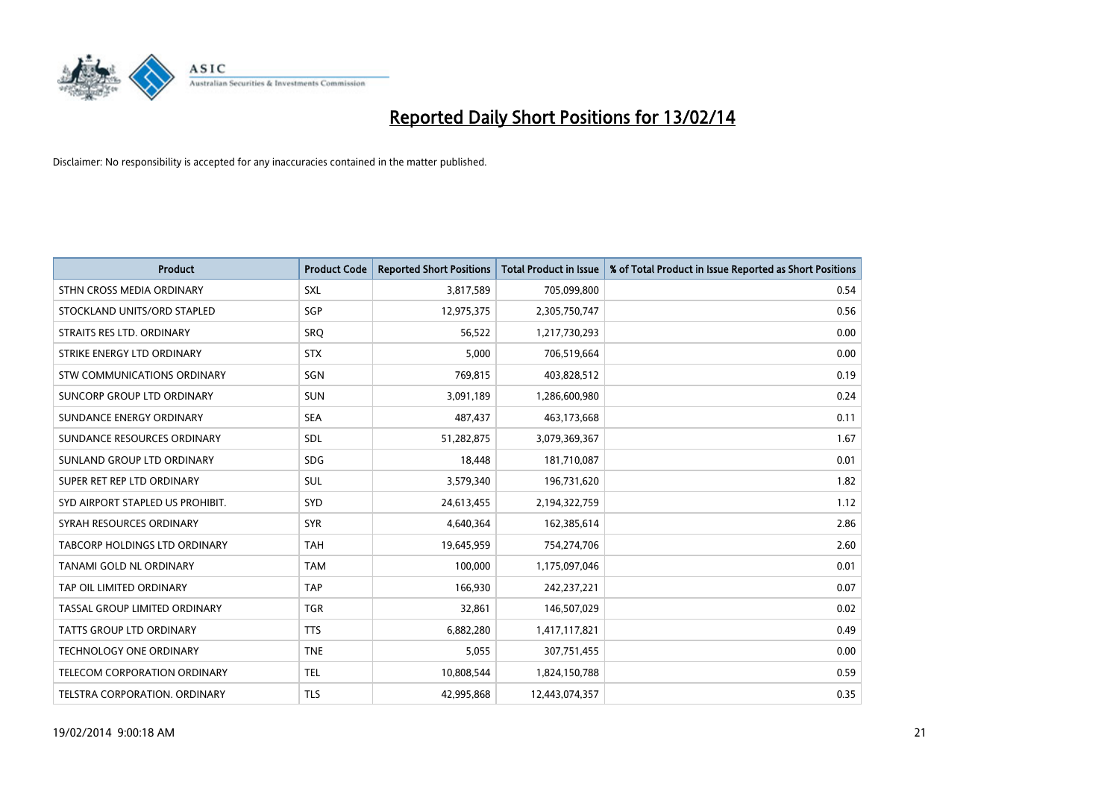

| <b>Product</b>                   | <b>Product Code</b> | <b>Reported Short Positions</b> | <b>Total Product in Issue</b> | % of Total Product in Issue Reported as Short Positions |
|----------------------------------|---------------------|---------------------------------|-------------------------------|---------------------------------------------------------|
| STHN CROSS MEDIA ORDINARY        | <b>SXL</b>          | 3,817,589                       | 705,099,800                   | 0.54                                                    |
| STOCKLAND UNITS/ORD STAPLED      | SGP                 | 12,975,375                      | 2,305,750,747                 | 0.56                                                    |
| STRAITS RES LTD. ORDINARY        | SRO                 | 56,522                          | 1,217,730,293                 | 0.00                                                    |
| STRIKE ENERGY LTD ORDINARY       | <b>STX</b>          | 5,000                           | 706,519,664                   | 0.00                                                    |
| STW COMMUNICATIONS ORDINARY      | SGN                 | 769,815                         | 403,828,512                   | 0.19                                                    |
| SUNCORP GROUP LTD ORDINARY       | <b>SUN</b>          | 3,091,189                       | 1,286,600,980                 | 0.24                                                    |
| SUNDANCE ENERGY ORDINARY         | <b>SEA</b>          | 487,437                         | 463,173,668                   | 0.11                                                    |
| SUNDANCE RESOURCES ORDINARY      | SDL                 | 51,282,875                      | 3,079,369,367                 | 1.67                                                    |
| SUNLAND GROUP LTD ORDINARY       | <b>SDG</b>          | 18,448                          | 181,710,087                   | 0.01                                                    |
| SUPER RET REP LTD ORDINARY       | <b>SUL</b>          | 3,579,340                       | 196,731,620                   | 1.82                                                    |
| SYD AIRPORT STAPLED US PROHIBIT. | <b>SYD</b>          | 24,613,455                      | 2,194,322,759                 | 1.12                                                    |
| SYRAH RESOURCES ORDINARY         | <b>SYR</b>          | 4,640,364                       | 162,385,614                   | 2.86                                                    |
| TABCORP HOLDINGS LTD ORDINARY    | <b>TAH</b>          | 19,645,959                      | 754,274,706                   | 2.60                                                    |
| TANAMI GOLD NL ORDINARY          | <b>TAM</b>          | 100,000                         | 1,175,097,046                 | 0.01                                                    |
| TAP OIL LIMITED ORDINARY         | <b>TAP</b>          | 166,930                         | 242,237,221                   | 0.07                                                    |
| TASSAL GROUP LIMITED ORDINARY    | <b>TGR</b>          | 32,861                          | 146,507,029                   | 0.02                                                    |
| TATTS GROUP LTD ORDINARY         | <b>TTS</b>          | 6,882,280                       | 1,417,117,821                 | 0.49                                                    |
| <b>TECHNOLOGY ONE ORDINARY</b>   | <b>TNE</b>          | 5,055                           | 307,751,455                   | 0.00                                                    |
| TELECOM CORPORATION ORDINARY     | <b>TEL</b>          | 10,808,544                      | 1,824,150,788                 | 0.59                                                    |
| TELSTRA CORPORATION, ORDINARY    | <b>TLS</b>          | 42,995,868                      | 12,443,074,357                | 0.35                                                    |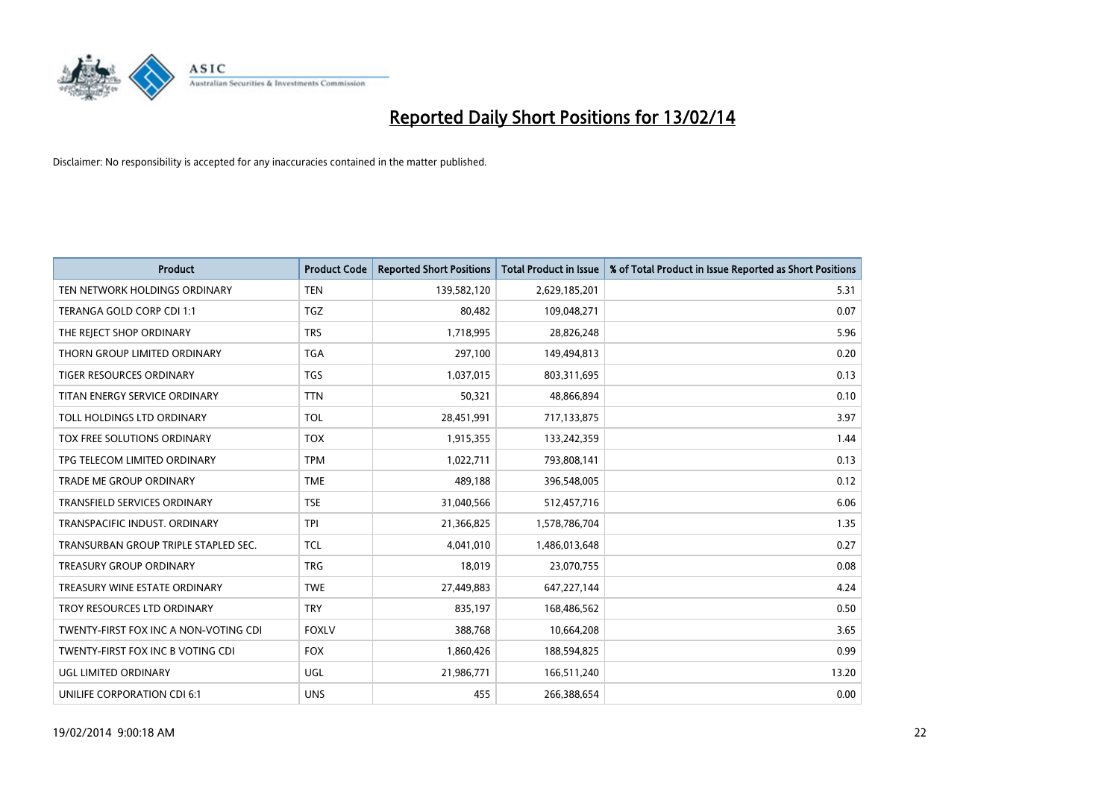

| <b>Product</b>                        | <b>Product Code</b> | <b>Reported Short Positions</b> | <b>Total Product in Issue</b> | % of Total Product in Issue Reported as Short Positions |
|---------------------------------------|---------------------|---------------------------------|-------------------------------|---------------------------------------------------------|
| TEN NETWORK HOLDINGS ORDINARY         | <b>TEN</b>          | 139,582,120                     | 2,629,185,201                 | 5.31                                                    |
| TERANGA GOLD CORP CDI 1:1             | <b>TGZ</b>          | 80,482                          | 109,048,271                   | 0.07                                                    |
| THE REJECT SHOP ORDINARY              | <b>TRS</b>          | 1,718,995                       | 28,826,248                    | 5.96                                                    |
| THORN GROUP LIMITED ORDINARY          | <b>TGA</b>          | 297,100                         | 149,494,813                   | 0.20                                                    |
| <b>TIGER RESOURCES ORDINARY</b>       | <b>TGS</b>          | 1,037,015                       | 803,311,695                   | 0.13                                                    |
| TITAN ENERGY SERVICE ORDINARY         | <b>TTN</b>          | 50,321                          | 48,866,894                    | 0.10                                                    |
| TOLL HOLDINGS LTD ORDINARY            | <b>TOL</b>          | 28,451,991                      | 717,133,875                   | 3.97                                                    |
| TOX FREE SOLUTIONS ORDINARY           | <b>TOX</b>          | 1,915,355                       | 133,242,359                   | 1.44                                                    |
| TPG TELECOM LIMITED ORDINARY          | <b>TPM</b>          | 1,022,711                       | 793,808,141                   | 0.13                                                    |
| <b>TRADE ME GROUP ORDINARY</b>        | <b>TME</b>          | 489,188                         | 396,548,005                   | 0.12                                                    |
| TRANSFIELD SERVICES ORDINARY          | <b>TSE</b>          | 31,040,566                      | 512,457,716                   | 6.06                                                    |
| TRANSPACIFIC INDUST. ORDINARY         | <b>TPI</b>          | 21,366,825                      | 1,578,786,704                 | 1.35                                                    |
| TRANSURBAN GROUP TRIPLE STAPLED SEC.  | <b>TCL</b>          | 4,041,010                       | 1,486,013,648                 | 0.27                                                    |
| <b>TREASURY GROUP ORDINARY</b>        | <b>TRG</b>          | 18,019                          | 23,070,755                    | 0.08                                                    |
| TREASURY WINE ESTATE ORDINARY         | <b>TWE</b>          | 27,449,883                      | 647,227,144                   | 4.24                                                    |
| TROY RESOURCES LTD ORDINARY           | <b>TRY</b>          | 835,197                         | 168,486,562                   | 0.50                                                    |
| TWENTY-FIRST FOX INC A NON-VOTING CDI | <b>FOXLV</b>        | 388,768                         | 10,664,208                    | 3.65                                                    |
| TWENTY-FIRST FOX INC B VOTING CDI     | <b>FOX</b>          | 1,860,426                       | 188,594,825                   | 0.99                                                    |
| UGL LIMITED ORDINARY                  | <b>UGL</b>          | 21,986,771                      | 166,511,240                   | 13.20                                                   |
| UNILIFE CORPORATION CDI 6:1           | <b>UNS</b>          | 455                             | 266,388,654                   | 0.00                                                    |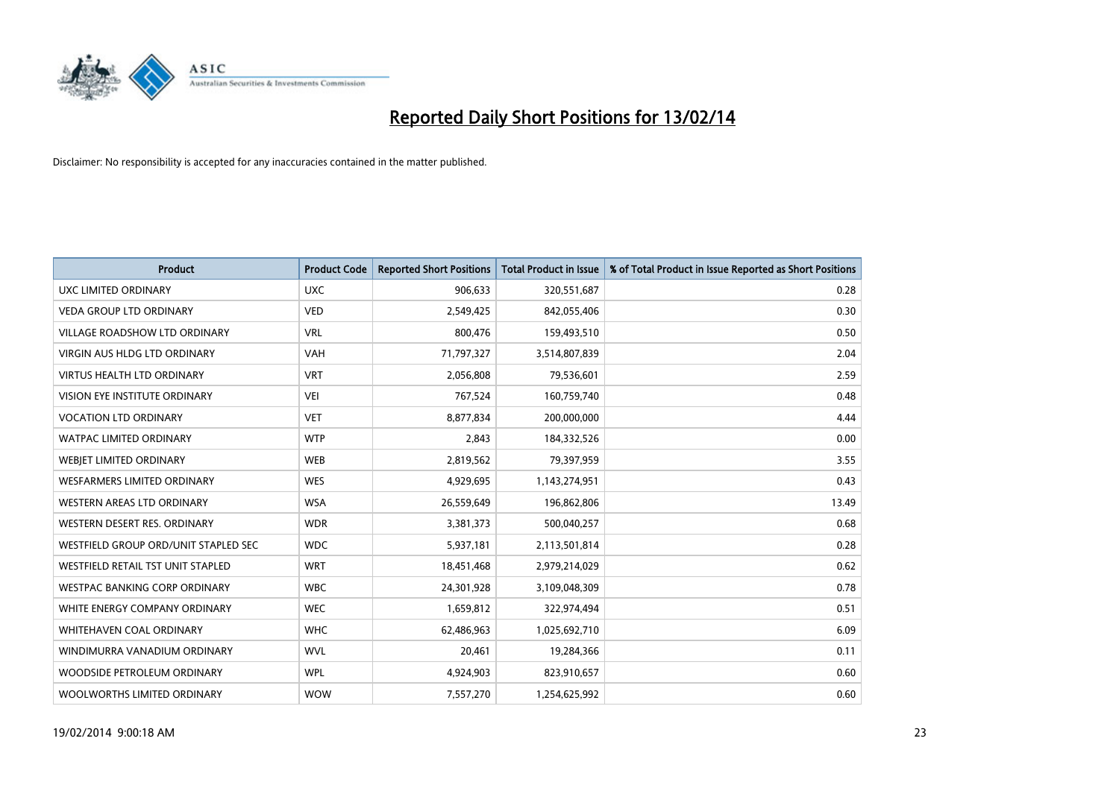

| <b>Product</b>                       | <b>Product Code</b> | <b>Reported Short Positions</b> | <b>Total Product in Issue</b> | % of Total Product in Issue Reported as Short Positions |
|--------------------------------------|---------------------|---------------------------------|-------------------------------|---------------------------------------------------------|
| <b>UXC LIMITED ORDINARY</b>          | <b>UXC</b>          | 906,633                         | 320,551,687                   | 0.28                                                    |
| <b>VEDA GROUP LTD ORDINARY</b>       | <b>VED</b>          | 2,549,425                       | 842,055,406                   | 0.30                                                    |
| <b>VILLAGE ROADSHOW LTD ORDINARY</b> | <b>VRL</b>          | 800,476                         | 159,493,510                   | 0.50                                                    |
| <b>VIRGIN AUS HLDG LTD ORDINARY</b>  | <b>VAH</b>          | 71,797,327                      | 3,514,807,839                 | 2.04                                                    |
| <b>VIRTUS HEALTH LTD ORDINARY</b>    | <b>VRT</b>          | 2,056,808                       | 79,536,601                    | 2.59                                                    |
| <b>VISION EYE INSTITUTE ORDINARY</b> | <b>VEI</b>          | 767,524                         | 160,759,740                   | 0.48                                                    |
| <b>VOCATION LTD ORDINARY</b>         | <b>VET</b>          | 8,877,834                       | 200,000,000                   | 4.44                                                    |
| <b>WATPAC LIMITED ORDINARY</b>       | <b>WTP</b>          | 2,843                           | 184,332,526                   | 0.00                                                    |
| <b>WEBJET LIMITED ORDINARY</b>       | <b>WEB</b>          | 2,819,562                       | 79,397,959                    | 3.55                                                    |
| <b>WESFARMERS LIMITED ORDINARY</b>   | <b>WES</b>          | 4,929,695                       | 1,143,274,951                 | 0.43                                                    |
| WESTERN AREAS LTD ORDINARY           | <b>WSA</b>          | 26,559,649                      | 196,862,806                   | 13.49                                                   |
| WESTERN DESERT RES. ORDINARY         | <b>WDR</b>          | 3,381,373                       | 500,040,257                   | 0.68                                                    |
| WESTFIELD GROUP ORD/UNIT STAPLED SEC | <b>WDC</b>          | 5,937,181                       | 2,113,501,814                 | 0.28                                                    |
| WESTFIELD RETAIL TST UNIT STAPLED    | <b>WRT</b>          | 18,451,468                      | 2,979,214,029                 | 0.62                                                    |
| <b>WESTPAC BANKING CORP ORDINARY</b> | <b>WBC</b>          | 24,301,928                      | 3,109,048,309                 | 0.78                                                    |
| WHITE ENERGY COMPANY ORDINARY        | <b>WEC</b>          | 1,659,812                       | 322,974,494                   | 0.51                                                    |
| <b>WHITEHAVEN COAL ORDINARY</b>      | <b>WHC</b>          | 62,486,963                      | 1,025,692,710                 | 6.09                                                    |
| WINDIMURRA VANADIUM ORDINARY         | <b>WVL</b>          | 20,461                          | 19,284,366                    | 0.11                                                    |
| WOODSIDE PETROLEUM ORDINARY          | <b>WPL</b>          | 4,924,903                       | 823,910,657                   | 0.60                                                    |
| WOOLWORTHS LIMITED ORDINARY          | <b>WOW</b>          | 7,557,270                       | 1,254,625,992                 | 0.60                                                    |